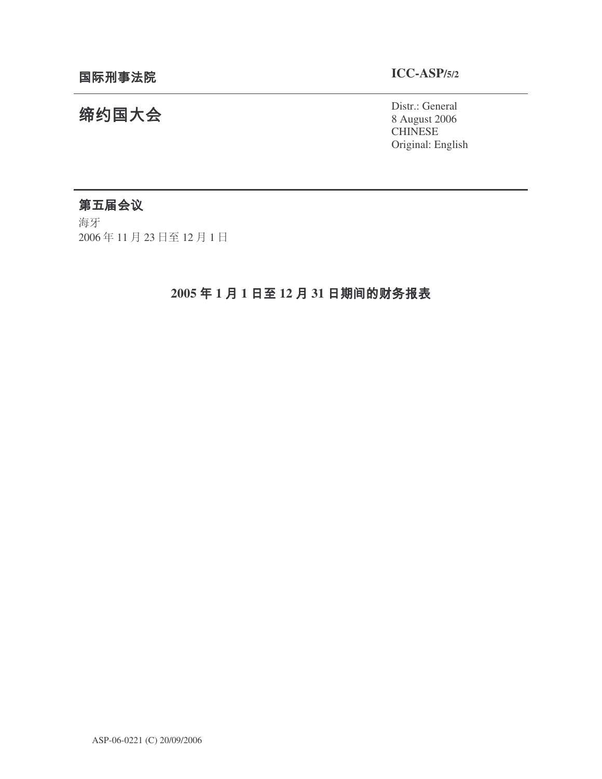# **ICC-ASP/5/2**

# 缔约国大会

Distr.: General 8 August 2006 CHINESE Original: English

# 第五届会议

海牙 2006年11月23日至12月1日

# **2005 1 1 12 31**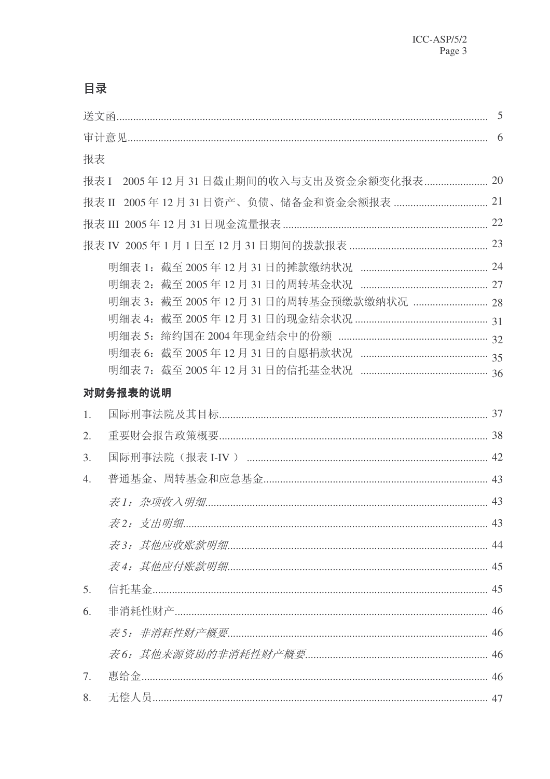|                  |                                         | 5  |
|------------------|-----------------------------------------|----|
|                  |                                         | 6  |
| 报表               |                                         |    |
| 报表 I             |                                         |    |
|                  |                                         |    |
|                  |                                         |    |
|                  |                                         |    |
|                  |                                         |    |
|                  |                                         |    |
|                  | 明细表 3: 截至 2005年 12月 31日的周转基金预缴款缴纳状况  28 |    |
|                  |                                         |    |
|                  |                                         |    |
|                  |                                         |    |
|                  |                                         |    |
|                  | 对财务报表的说明                                |    |
| 1.               |                                         |    |
| 2.               |                                         |    |
| 3.               |                                         |    |
| $\overline{4}$ . |                                         |    |
|                  |                                         | 43 |
|                  |                                         |    |
|                  |                                         |    |
|                  |                                         |    |
| 5.               |                                         |    |
| 6.               |                                         |    |
|                  |                                         |    |
|                  |                                         |    |
| 7.               |                                         |    |
| 8.               |                                         |    |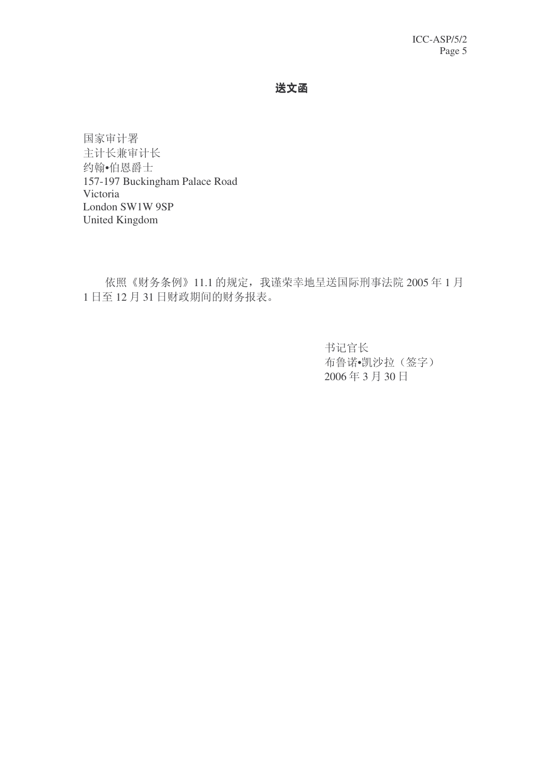送文函

国家审计署 主计长兼审计长 约翰•伯恩爵士 157-197 Buckingham Palace Road Victoria London SW1W 9SP United Kingdom

依照《财务条例》11.1 的规定, 我谨荣幸地呈送国际刑事法院 2005 年 1 月 1日至12月31日财政期间的财务报表。

> 书记官长 布鲁诺•凯沙拉(签字) 2006年3月30日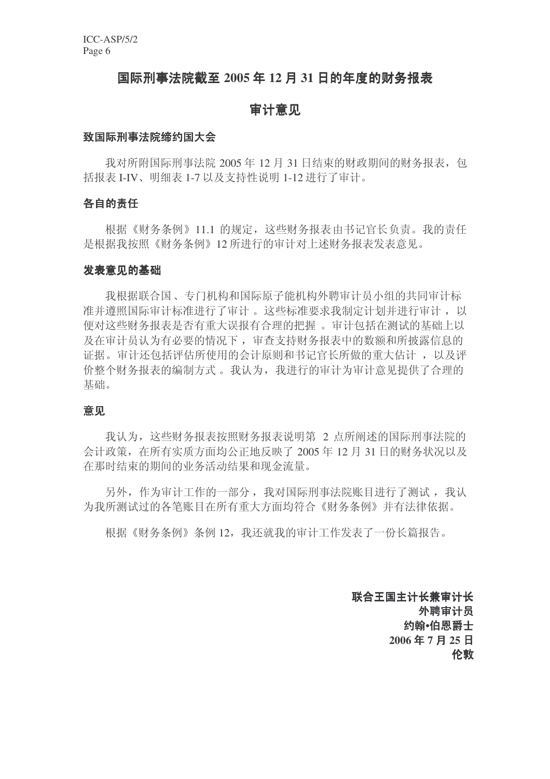## **国际刑事法院截至 2005 年 12 月 31 日的年度的财务报表**

## 审计意见

### 致国际刑事法院缔约国大会

我对所附国际刑事法院 2005年12月31日结束的财政期间的财务报表, 包 括报表 I-IV、明细表 1-7 以及支持性说明 1-12 进行了审计。

#### 各自的责任

根据《财务条例》11.1 的规定, 这些财务报表由书记官长负责。我的责任 是根据我按照《财务条例》12 所讲行的审计对上述财务报表发表意见。

#### 发表意见的基础

我根据联合国、专门机构和国际原子能机构外聘审计员小组的共同审计标 准并遵照国际审计标准讲行了审计 。这些标准要求我制定计划并讲行审计, 以 便对这些财务报表是否有重大误报有合理的把握。审计包括在测试的基础上以 及在审计员认为有必要的情况下, 审查支持财务报表中的数额和所披露信息的 证据。审计还包括评估所使用的会计原则和书记官长所做的重大估计,以及评 价整个财务报表的编制方式。我认为,我进行的审计为审计意见提供了合理的 基础。

## 意见

我认为,这些财务报表按照财务报表说明第 2 点所阐述的国际刑事法院的 会计政策, 在所有实质方面均公正地反映了 2005 年 12 月 31 日的财务状况以及 在那时结束的期间的业务活动结果和现金流量。

另外, 作为审计工作的一部分, 我对国际刑事法院账目进行了测试, 我认 为我所测试过的各笔账目在所有重大方面均符合《财务条例》并有法律依据。

根据《财务条例》条例 12, 我还就我的审计工作发表了一份长篇报告。

联合王国主计长兼审计长 外聘审计员 约翰•伯恩爵士 **2006** ᑈ **7** ᳜ **25** ᮹ 伦敦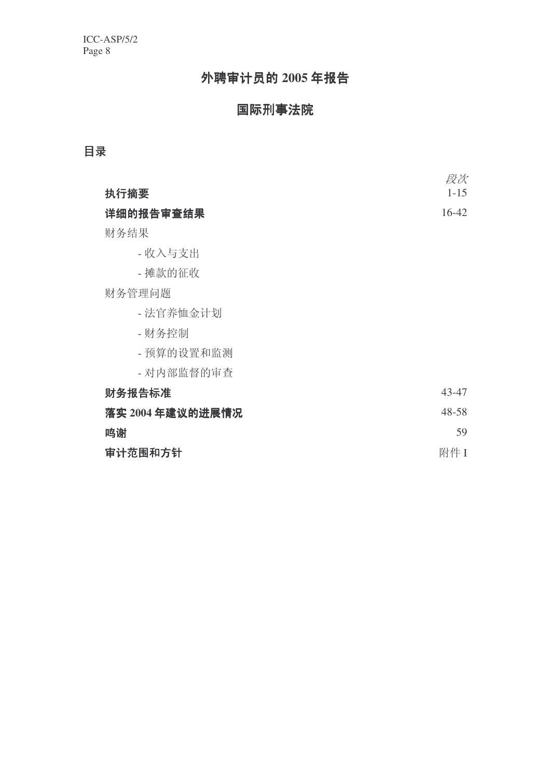# 外聘审计员的 2005 年报告

# 国际刑事法院

# 目录

|                  | 段次        |
|------------------|-----------|
| 执行摘要             | $1 - 15$  |
| 详细的报告审查结果        | $16 - 42$ |
| 财务结果             |           |
| - 收入与支出          |           |
| - 摊款的征收          |           |
| 财务管理问题           |           |
| - 法官养恤金计划        |           |
| - 财务控制           |           |
| - 预算的设置和监测       |           |
| - 对内部监督的审查       |           |
| 财务报告标准           | 43-47     |
| 落实 2004 年建议的进展情况 | $48 - 58$ |
| 鸣谢               | 59        |
| 审计范围和方针          | 附件 I      |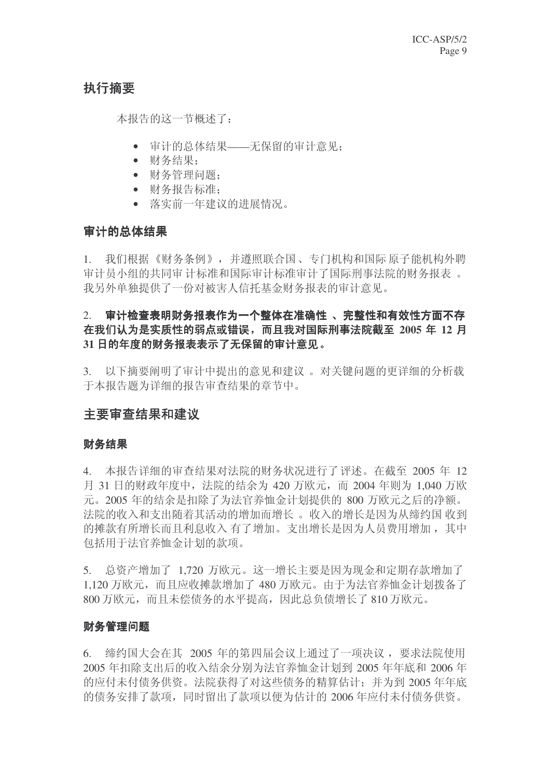# 执行摘要

本报告的这一节概述了:

- 审计的总体结果——无保留的审计意见:
- 财务结果.
- 财务管理问题:
- 财务报告标准:
- 落实前一年建议的进展情况。

## 宙计的总体结果

1. 我们根据《财务条例》,并遵照联合国、专门机构和国际原子能机构外聘 审计员小组的共同审 计标准和国际审计标准审计了国际刑事法院的财务报表。 我另外单独提供了一份对被害人信托基金财务报表的审计意见。

# 2. 审计检查表明财务报表作为一个整体在准确性 、完整性和有效性方面不存 在我们认为是实质性的弱点或错误,而且我对国际刑事法院截至 2005 年 12 月 31 日的年度的财务报表表示了无保留的审计意见。

3. 以下摘要阐明了审计中提出的意见和建议。对关键问题的更详细的分析载 于本报告题为详细的报告审查结果的章节中。

## 主要审查结果和建议

## 财务结果

4. 本报告详细的审查结果对法院的财务状况进行了评述。在截至 2005 年 12 月 31 日的财政年度中, 法院的结余为 420 万欧元, 而 2004 年则为 1,040 万欧 元。2005年的结余是扣除了为法官养恤金计划提供的 800 万欧元之后的净额。 法院的收入和支出随着其活动的增加而增长。收入的增长是因为从缔约国收到 的摊款有所增长而且利息收入有了增加。支出增长是因为人员费用增加, 其中 包括用于法官养恤金计划的款项。

5. 总资产增加了 1,720 万欧元。这一增长主要是因为现金和定期存款增加了 1,120 万欧元, 而且应收摊款增加了 480 万欧元。由于为法官养恤金计划拨备了 800 万欧元, 而且未偿债务的水平提高, 因此总负债增长了 810 万欧元。

## 财务管理问题

6. 缔约国大会在其 2005 年的第四届会议上通过了一项决议, 要求法院使用 2005 年扣除支出后的收入结余分别为法官养恤金计划到 2005 年年底和 2006 年 的应付未付债务供资。法院获得了对这些债务的精算估计: 并为到 2005 年年底 的债务安排了款项,同时留出了款项以便为估计的 2006 年应付未付债务供资。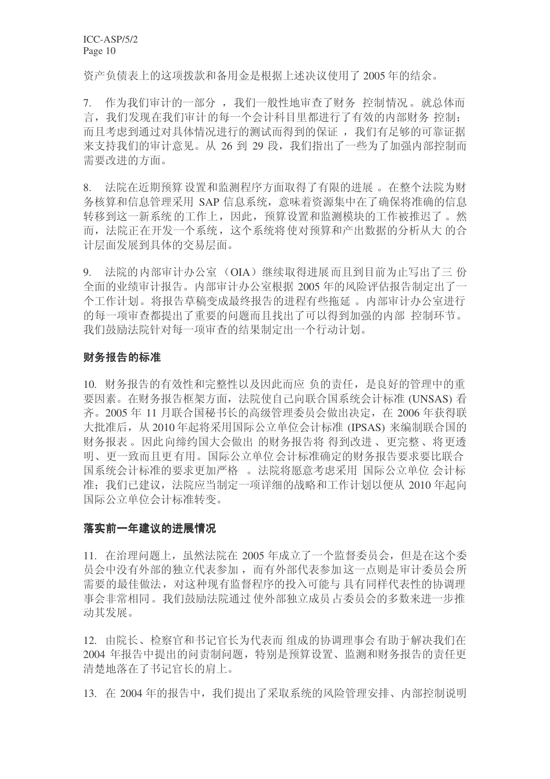资产负债表上的这项拨款和备用金是根据上述决议使用了2005年的结余。

7. 作为我们审计的一部分, 我们一般性地审查了财务 控制情况。就总体而 言, 我们发现在我们审计的每一个会计科目里都进行了有效的内部财务 控制: 而且考虑到通过对具体情况进行的测试而得到的保证, 我们有足够的可靠证据 来支持我们的审计意见。从 26 到 29 段, 我们指出了一些为了加强内部控制而 需要改讲的方面。

8. 法院在近期预算设置和监测程序方面取得了有限的进展。在整个法院为财 务核算和信息管理采用 SAP 信息系统, 意味着资源集中在了确保将准确的信息 转移到这一新系统的工作上,因此,预算设置和监测模块的工作被推迟了。然 而, 法院正在开发一个系统, 这个系统将使对预算和产出数据的分析从大 的合 计层面发展到具体的交易层面。

9. 法院的内部审计办公室 (OIA) 继续取得讲展而且到目前为止写出了三 份 全面的业绩审计报告。内部审计办公室根据 2005 年的风险评估报告制定出了一 个工作计划。将报告草稿变成最终报告的进程有些拖延。内部审计办公室进行 的每一项审杳都提出了重要的问题而且找出了可以得到加强的内部 控制环节。 我们鼓励法院针对每一项审查的结果制定出一个行动计划。

## 财务报告的标准

10. 财务报告的有效性和完整性以及因此而应负的责任, 是良好的管理中的重 要因素。在财务报告框架方面, 法院使自己向联合国系统会计标准 (UNSAS) 看 齐。2005年11 月联合国秘书长的高级管理委员会做出决定, 在 2006 年获得联 大批准后, 从 2010 年起将采用国际公立单位会计标准 (IPSAS) 来编制联合国的 财务报表。因此向缔约国大会做出 的财务报告将 得到改进、更完整、将更透 明、更一致而且更有用。国际公立单位会计标准确定的财务报告要求要比联合 国系统会计标准的要求更加严格。法院将愿意考虑采用 国际公立单位 会计标 准: 我们已建议, 法院应当制定一项详细的战略和工作计划以便从 2010 年起向 国际公立单位会计标准转变。

## 落实前一年建议的进展情况

11. 在治理问题上, 虽然法院在 2005 年成立了一个监督委员会, 但是在这个委 员会中没有外部的独立代表参加, 而有外部代表参加这一点则是审计委员会所 需要的最佳做法,对这种现有监督程序的投入可能与具有同样代表性的协调理 事会非常相同。我们鼓励法院通过 使外部独立成员 占委员会的多数来进一步推 动其发展。

12. 由院长、检察官和书记官长为代表而组成的协调理事会有助于解决我们在 2004 年报告中提出的问责制问题, 特别是预算设置、监测和财务报告的责任更 清楚地落在了书记官长的肩上。

13. 在 2004年的报告中,我们提出了采取系统的风险管理安排、内部控制说明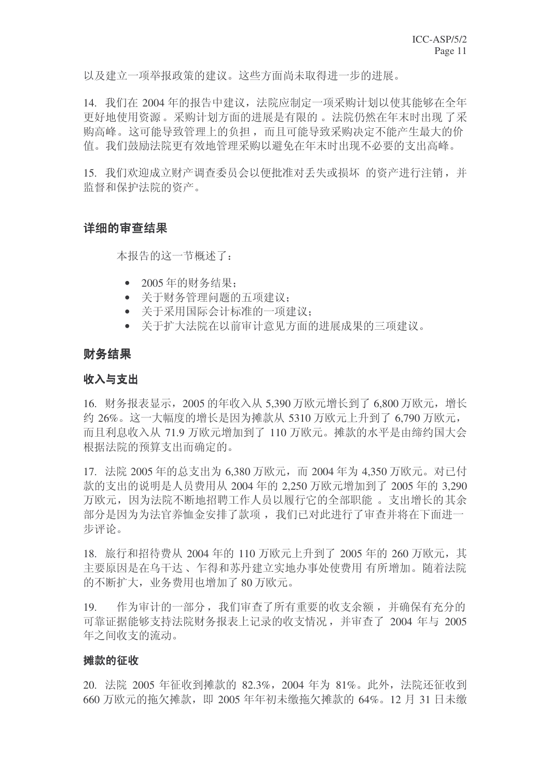以及建立一项举报政策的建议。这些方面尚未取得进一步的进展。

14. 我们在 2004 年的报告中建议, 法院应制定一项采购计划以使其能够在全年 更好地使用资源。采购计划方面的进展是有限的。法院仍然在年末时出现了采 购高峰。这可能导致管理上的负担,而且可能导致采购决定不能产生最大的价 倌。我们鼓励法院更有效地管理采购以避免在年末时出现不必要的支出高峰。

15. 我们欢迎成立财产调查委员会以便批准对手失或损坏 的资产讲行注销, 并 监督和保护法院的资产。

# 详细的审查结果

本报告的这一节概述了:

- 2005年的财务结果:
- 关于财务管理问题的五项建议:
- 关于采用国际会计标准的一项建议;
- 关于扩大法院在以前审计意见方面的进展成果的三项建议。

## 财务结果

## 收入与支出

16. 财务报表显示, 2005 的年收入从 5.390 万欧元增长到了 6.800 万欧元, 增长 约 26%。这一大幅度的增长是因为摊款从 5310 万欧元上升到了 6.790 万欧元, 而且利息收入从 71.9 万欧元增加到了 110 万欧元。摊款的水平是由缔约国大会 根据法院的预算支出而确定的。

17. 法院 2005 年的总支出为 6,380 万欧元, 而 2004 年为 4,350 万欧元。对已付 款的支出的说明是人员费用从 2004 年的 2.250 万欧元增加到了 2005 年的 3.290 万欧元,因为法院不断地招聘工作人员以履行它的全部职能。支出增长的其余 部分是因为为法官养恤金安排了款项, 我们已对此进行了审查并将在下面进一 步评论。

18. 旅行和招待费从 2004 年的 110 万欧元上升到了 2005 年的 260 万欧元, 其 主要原因是在乌干达、乍得和苏丹建立实地办事处使费用 有所增加。随着法院 的不断扩大, 业务费用也增加了80 万欧元。

19. 作为审计的一部分,我们审查了所有重要的收支余额,并确保有充分的 可靠证据能够支持法院财务报表上记录的收支情况, 并审查了 2004 年与 2005 年之间收支的流动。

## 摊款的征收

20. 法院 2005 年征收到摊款的 82.3%, 2004 年为 81%。此外, 法院还征收到  $660$  万欧元的拖欠摊款, 即 2005 年年初未缴拖欠摊款的 64%。12 月 31 日未缴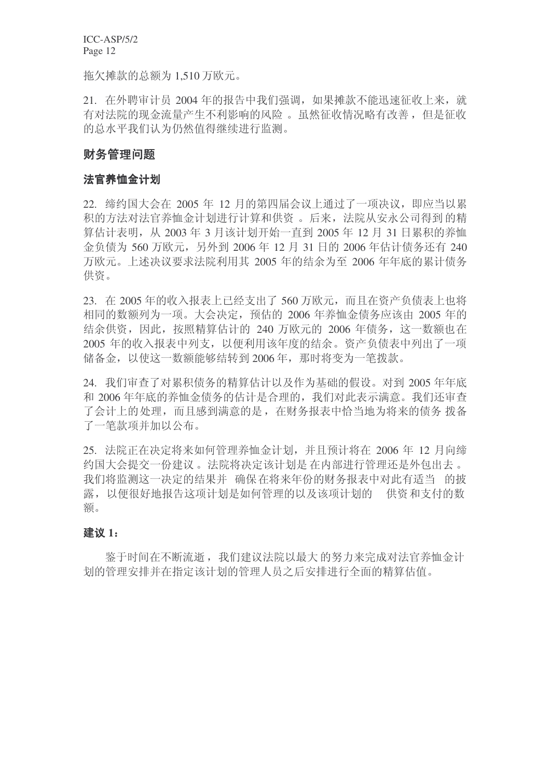拖欠摊款的总额为 1,510 万欧元。

21. 在外聘审计员 2004 年的报告中我们强调, 如果摊款不能迅速征收上来, 就 有对法院的现金流量产生不利影响的风险。虽然征收情况略有改善,但是征收 的总水平我们认为仍然值得继续进行监测。

## 财务管理问题

## 法官养恤金计划

22. 缔约国大会在 2005 年 12 月的第四届会议上通过了一项决议, 即应当以累 积的方法对法官养恤金计划进行计算和供资。后来, 法院从安永公司得到的精 算估计表明, 从 2003 年 3 月该计划开始一直到 2005 年 12 月 31 日累积的养恤 金负债为 560 万欧元, 另外到 2006 年 12 月 31 日的 2006 年估计债务还有 240 万欧元。上述决议要求法院利用其 2005 年的结余为至 2006 年年底的累计债务 供资。

23. 在 2005 年的收入报表上已经支出了 560 万欧元, 而且在资产负债表上也将 相同的数额列为一项。大会决定, 预估的 2006 年养恤金债务应该由 2005 年的 结余供资,因此, 按照精算估计的 240 万欧元的 2006 年债务, 这一数额也在 2005 年的收入报表中列支, 以便利用该年度的结余。资产负债表中列出了一项 储备金, 以使这一数额能够结转到 2006年, 那时将变为一笔拨款。

24. 我们审查了对累积债务的精算估计以及作为基础的假设。对到 2005 年年底 和 2006 年年底的养恤金债务的估计是合理的, 我们对此表示满意。我们还审查 了会计上的处理,而且感到满意的是,在财务报表中恰当地为将来的债务 拨备 了一笔款项并加以公布。

25. 法院正在决定将来如何管理养恤金计划,并且预计将在 2006 年 12 月向缔 约国大会提交一份建议。 法院将决定该计划是 在内部进行管理还是外包出去。 我们将监测这一决定的结果并 确保在将来年份的财务报表中对此有适当 的披 露, 以便很好地报告这项计划是如何管理的以及该项计划的。供资和支付的数 额。

## 建议 1:

鉴于时间在不断流逝,我们建议法院以最大的努力来完成对法官养恤金计 划的管理安排并在指定该计划的管理人员之后安排进行全面的精算估值。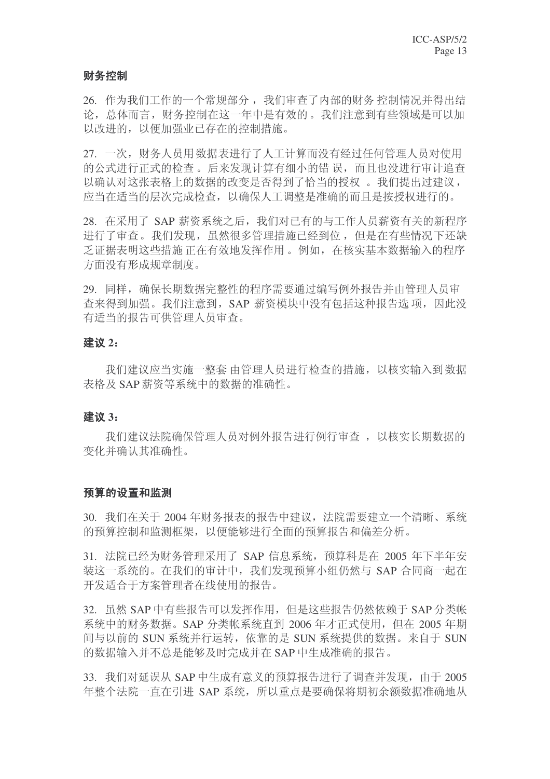## 财务控制

26. 作为我们工作的一个常规部分,我们审查了内部的财务 控制情况并得出结 论, 总体而言, 财务控制在这一年中是有效的。我们注意到有些领域是可以加 以改进的,以便加强业已存在的控制措施。

27. 一次, 财务人员用数据表进行了人工计算而没有经过任何管理人员对使用 的公式进行正式的检查。后来发现计算有细小的错误,而且也没进行审计追查 以确认对这张表格上的数据的改变是否得到了恰当的授权。我们提出过建议, 应当在适当的层次完成检查, 以确保人工调整是准确的而且是按授权进行的。

28. 在采用了 SAP 薪资系统之后, 我们对已有的与工作人员薪资有关的新程序 进行了审查。我们发现,虽然很多管理措施已经到位,但是在有些情况下还缺 乏证据表明这些措施 正在有效地发挥作用。例如, 在核实基本数据输入的程序 方面没有形成规章制度。

29. 同样, 确保长期数据完整性的程序需要通过编写例外报告并由管理人员审 杳来得到加强。我们注意到, SAP 薪资模块中没有包括这种报告选项, 因此没 有适当的报告可供管理人员审查。

### 建议 2:

我们建议应当实施一整套 由管理人员进行检查的措施, 以核实输入到数据 表格及 SAP 薪资等系统中的数据的准确性。

#### 建议 3:

我们建议法院确保管理人员对例外报告进行例行审查, 以核实长期数据的 变化并确认其准确性。

#### 预算的设置和监测

30. 我们在关于 2004 年财务报表的报告中建议, 法院需要建立一个清晰、系统 的预算控制和监测框架,以便能够进行全面的预算报告和偏差分析。

31. 法院已经为财务管理采用了 SAP 信息系统, 预算科是在 2005 年下半年安 装这一系统的。在我们的审计中,我们发现预算小组仍然与 SAP 合同商一起在 开发适合于方案管理者在线使用的报告。

32. 虽然 SAP 中有些报告可以发挥作用, 但是这些报告仍然依赖于 SAP 分类帐 系统中的财务数据。SAP 分类帐系统直到 2006 年才正式使用, 但在 2005 年期 间与以前的 SUN 系统并行运转, 依靠的是 SUN 系统提供的数据。来自于 SUN 的数据输入并不总是能够及时完成并在 SAP 中生成准确的报告。

33. 我们对延误从 SAP 中生成有意义的预算报告讲行了调杳并发现, 由于 2005 年整个法院一直在引进 SAP 系统, 所以重点是要确保将期初余额数据准确地从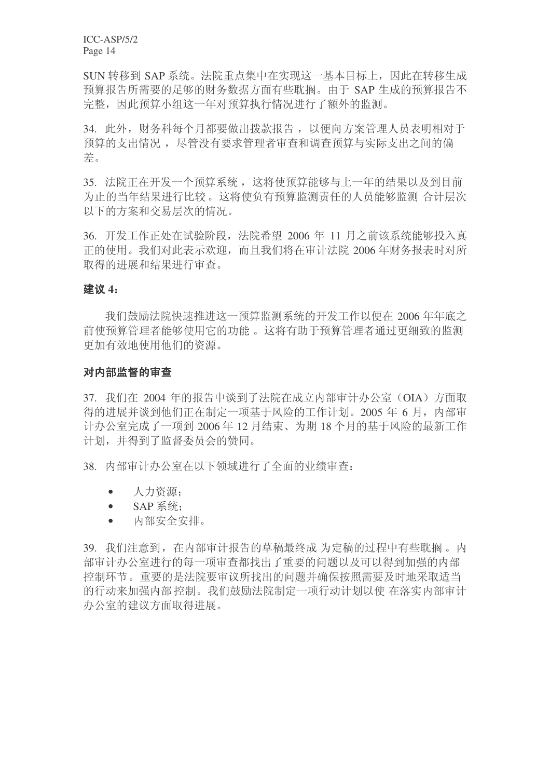SUN 转移到 SAP 系统。法院重点集中在实现这一基本目标上, 因此在转移生成 预算报告所需要的足够的财务数据方面有些耽搁。由于 SAP 生成的预算报告不 完整, 因此预算小组这一年对预算执行情况进行了额外的监测。

34. 此外, 财务科每个月都要做出拨款报告, 以便向方案管理人员表明相对于 预算的支出情况, 尽管没有要求管理者审杳和调杳预算与实际支出之间的偏 差。

35. 法院正在开发一个预算系统, 这将使预算能够与上一年的结果以及到目前 为止的当年结果进行比较。这将使负有预算监测责任的人员能够监测 合计层次 以下的方案和交易层次的情况。

36. 开发工作正处在试验阶段, 法院希望 2006 年 11 月之前该系统能够投入真 正的使用。我们对此表示欢迎,而且我们将在审计法院 2006 年财务报表时对所 取得的讲展和结果讲行审杳。

## 建议 4:

我们鼓励法院快速推进这一预算监测系统的开发工作以便在 2006 年年底之 前使预算管理者能够使用它的功能。这将有助于预算管理者通过更细致的监测 更加有效地使用他们的资源。

#### 对内部监督的审查

37. 我们在 2004 年的报告中谈到了法院在成立内部审计办公室 (OIA) 方面取 得的讲展并谈到他们正在制定一项基于风险的工作计划。2005年6月, 内部审 计办公室完成了一项到 2006年 12 月结束、为期 18 个月的基于风险的最新工作 计划,并得到了监督委员会的赞同。

38. 内部审计办公室在以下领域进行了全面的业绩审查:

- 人力资源:
- SAP  $\leq$  统:
- 内部安全安排。

39. 我们注意到, 在内部审计报告的草稿最终成 为定稿的过程中有些耽搁。内 部审计办公室进行的每一项审查都找出了重要的问题以及可以得到加强的内部 控制环节。重要的是法院要审议所找出的问题并确保按照需要及时地采取活当 的行动来加强内部控制。我们鼓励法院制定一项行动计划以使 在落实内部审计 办公室的建议方面取得进展。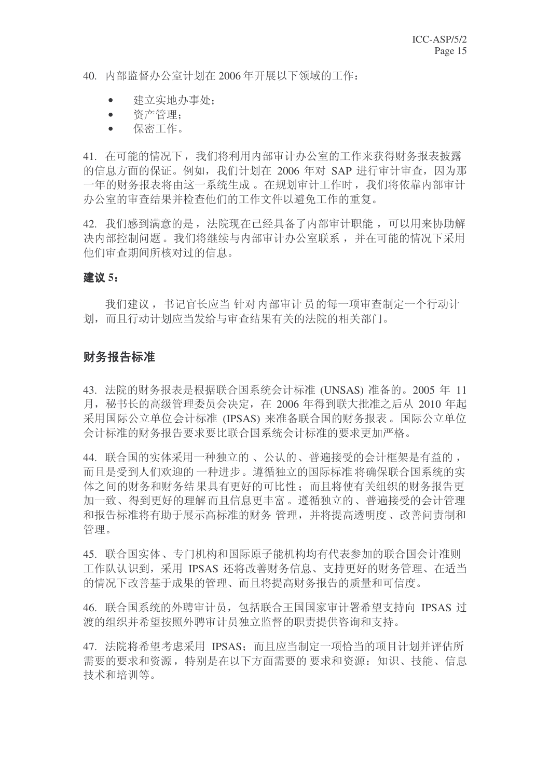40. 内部监督办公室计划在 2006年开展以下领域的工作:

- $\bullet$  建立实地办事处:
- 资产管理:
- 保密工作。

41. 在可能的情况下, 我们将利用内部审计办公室的工作来获得财务报表披露 的信息方面的保证。例如,我们计划在 2006 年对 SAP 进行审计审查, 因为那 一年的财务报表将由这一系统生成 。在规划审计工作时 ,我们将依靠内部审计 办公室的审查结果并检查他们的工作文件以避免工作的重复。

42. 我们感到满意的是, 法院现在已经具备了内部审计职能, 可以用来协助解 决内部控制问题。我们将继续与内部审计办公室联系,并在可能的情况下采用 他们审查期间所核对过的信息。

## 建议 5:

我们建议, 书记官长应当 针对内部审计员的每一项审查制定一个行动计 划,而且行动计划应当发给与审查结果有关的法院的相关部门。

## 财务报告标准

43. 法院的财务报表是根据联合国系统会计标准 (UNSAS) 准备的。2005 年 11 月, 秘书长的高级管理委员会决定, 在 2006 年得到联大批准之后从 2010 年起 采用国际公立单位会计标准 (IPSAS) 来准备联合国的财务报表。国际公立单位 会计标准的财务报告要求要比联合国系统会计标准的要求更加严格。

44. 联合国的实体采用一种独立的、公认的、普遍接受的会计框架是有益的, 而且是受到人们欢迎的一种进步。遵循独立的国际标准 将确保联合国系统的实 体之间的财务和财务结果具有更好的可比性;而且将使有关组织的财务报告更 加一致、得到更好的理解而且信息更丰富。遵循独立的、普遍接受的会计管理 和报告标准将助于展示高标准的财务 管理, 并将提高透明度、改善问责制和 管理。

45. 联合国实体、专门机构和国际原子能机构均有代表参加的联合国会计准则 工作队认识到,采用 IPSAS 还将改善财务信息、支持更好的财务管理、在话当 的情况下改善基于成果的管理、而且将提高财务报告的质量和可信度。

46. 联合国系统的外聘审计员, 包括联合王国国家审计署希望支持向 IPSAS 讨 渡的组织并希望按照外聘审计员独立监督的职责提供咨询和支持。

47. 法院将希望考虑采用 IPSAS: 而且应当制定一项恰当的项目计划并评估所 需要的要求和资源,特别是在以下方面需要的要求和资源:知识、技能、信息 技术和培训等。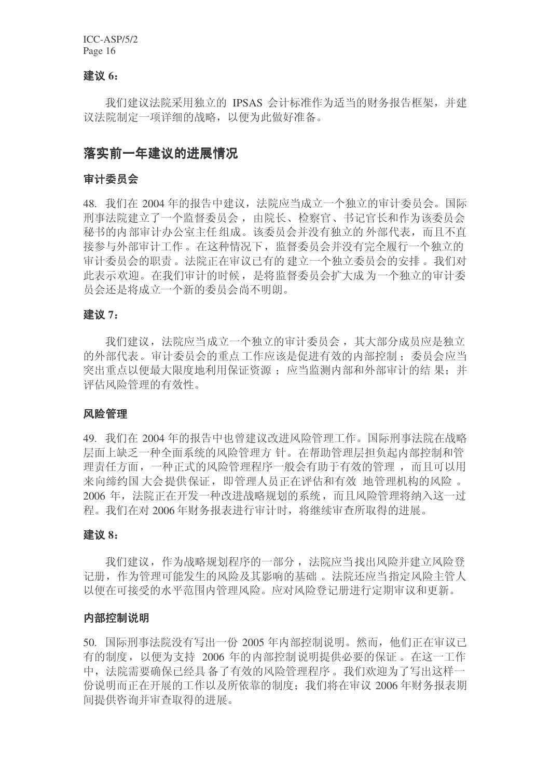## 建议 6:

我们建议法院采用独立的 IPSAS 会计标准作为适当的财务报告框架, 并建 议法院制定一项详细的战略,以便为此做好准备。

## 落实前一年建议的进展情况

### 审计委员会

48. 我们在 2004年的报告中建议, 法院应当成立一个独立的审计委员会。国际 刑事法院建立了一个监督委员会, 由院长、检察官、书记官长和作为该委员会 秘书的内部审计办公室主任组成。该委员会并没有独立的外部代表,而且不直 接参与外部审计工作。在这种情况下, 监督委员会并没有完全履行一个独立的 审计委员会的职责。法院正在审议已有的建立一个独立委员会的安排。我们对 此表示欢迎。在我们审计的时候, 是将监督委员会扩大成为一个独立的审计委 员会还是将成立一个新的委员会尚不明朗。

#### 建议 7:

我们建议, 法院应当成立一个独立的审计委员会, 其大部分成员应是独立 的外部代表。审计委员会的重点工作应该是促进有效的内部控制:委员会应当 突出重点以便最大限度地利用保证资源:应当监测内部和外部审计的结果:并 评估风险管理的有效性。

#### 风险管理

49. 我们在 2004 年的报告中也曾建议改讲风险管理工作。国际刑事法院在战略 层面上缺乏一种全面系统的风险管理方 针。在帮助管理层担负起内部控制和管 理责任方面, 一种正式的风险管理程序一般会有助于有效的管理, 而且可以用 来向缔约国大会提供保证,即管理人员正在评估和有效 地管理机构的风险。 2006 年, 法院正在开发一种改进战略规划的系统, 而且风险管理将纳入这一讨 程。我们在对2006年财务报表进行审计时,将继续审查所取得的进展。

## 建议 8:

我们建议, 作为战略规划程序的一部分, 法院应当找出风险并建立风险登 记册, 作为管理可能发生的风险及基影响的基础。法院还应当指定风险主管人 以便在可接受的水平范围内管理风险。应对风险登记册进行定期审议和更新。

#### 内部控制说明

50. 国际刑事法院没有写出一份 2005 年内部控制说明。然而, 他们正在审议已 有的制度, 以便为支持 2006 年的内部控制说明提供必要的保证。在这一工作 中, 法院需要确保已经具备了有效的风险管理程序。我们欢迎为了写出这样一 份说明而正在开展的工作以及所依靠的制度: 我们将在审议 2006 年财务报表期 间提供咨询并审杳取得的讲展。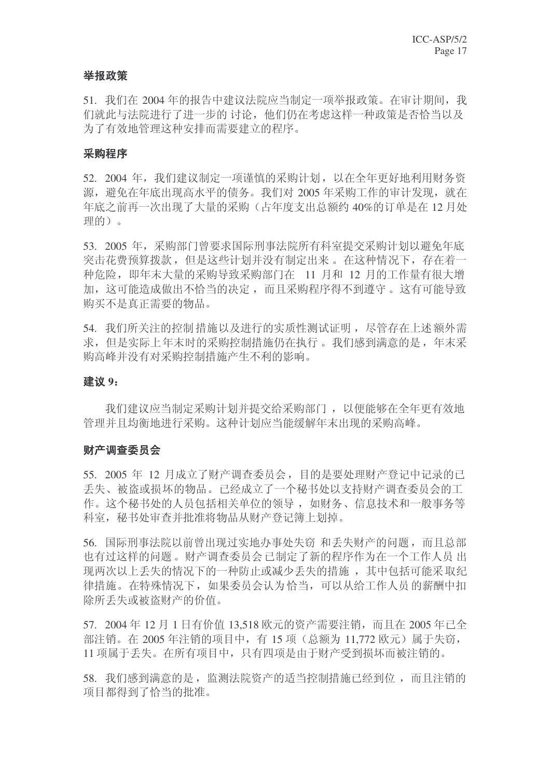## 举报政策

51. 我们在 2004年的报告中建议法院应当制定一项举报政策。在审计期间,我 们就此与法院进行了进一步的 讨论, 他们仍在考虑这样一种政策是否恰当以及 为了有效地管理这种安排而需要建立的程序。

#### 采购程序

52. 2004 年, 我们建议制定一项谨慎的采购计划, 以在全年更好地利用财务资 源, 避免在年底出现高水平的债务。我们对 2005 年采购工作的审计发现, 就在 年底之前再一次出现了大量的采购(占年度支出总额约 40%的订单是在12月处 理的)。

53. 2005 年, 采购部门曾要求国际刑事法院所有科室提交采购计划以避免年底 突击花费预算拨款, 但是这些计划并没有制定出来。在这种情况下, 存在着一 种危险, 即年末大量的采购导致采购部门在 11 月和 12 月的工作量有很大增 加, 这可能造成做出不恰当的决定, 而且采购程序得不到遵守。这有可能导致 购买不是真正需要的物品。

54. 我们所关注的控制措施以及进行的实质性测试证明, 尽管存在上述额外需 求, 但是实际上年末时的采购控制措施仍在执行。我们感到满意的是, 年末采 购高峰并没有对采购控制措施产生不利的影响。

#### 建议 9:

我们建议应当制定采购计划并提交给采购部门, 以便能够在全年更有效地 管理并且均衡地进行采购。这种计划应当能缓解年末出现的采购高峰。

## 财产调查委员会

55. 2005 年 12 月成立了财产调查委员会, 目的是要处理财产登记中记录的已 丢失、被盗或损坏的物品。已经成立了一个秘书处以支持财产调查委员会的工 作。这个秘书处的人员包括相关单位的领导, 如财务、信息技术和一般事务等 科室, 秘书处审查并批准将物品从财产登记簿上划掉。

56. 国际刑事法院以前曾出现过实地办事处失窃 和手失财产的问题,而且总部 也有过这样的问题。财产调查委员会已制定了新的程序作为在一个工作人员出 现两次以上丢失的情况下的一种防止或减少丢失的措施, 其中包括可能采取纪 律措施。在特殊情况下,如果委员会认为恰当,可以从给工作人员的薪酬中扣 除所丢失或被盗财产的价值。

57. 2004年12月1日有价值13,518 欧元的资产需要注销,而且在2005年已全 部注销。在 2005 年注销的项目中, 有 15 项 (总额为 11.772 欧元) 属于失窃, 11 项属于丢失。在所有项目中, 只有四项是由于财产受到损坏而被注销的。

58. 我们感到满意的是, 监测法院资产的适当控制措施已经到位, 而且注销的 项目都得到了恰当的批准。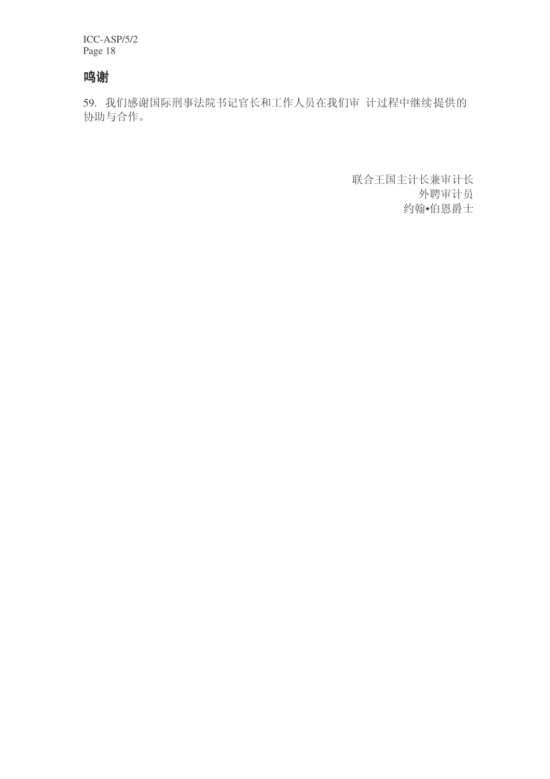# 鸣谢

59. 我们感谢国际刑事法院书记官长和工作人员在我们审 计过程中继续提供的 协助与合作。

> 联合王国主计长兼审计长 外聘审计员 约翰•伯恩爵士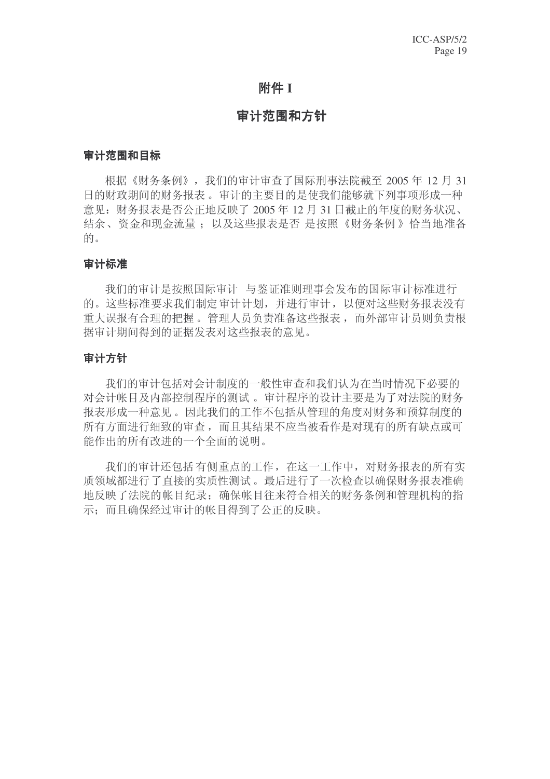## 附件 **I**

## 审计范围和方针

#### 审计范围和目标

根据《财务条例》,我们的审计审杳了国际刑事法院截至 2005 年 12 月 31 日的财政期间的财务报表。审计的主要目的是使我们能够就下列事项形成一种 意见: 财务报表是否公正地反映了 2005年12月31日截止的年度的财务状况、 结余、资金和现金流量; 以及这些报表是否 是按照《财务条例》恰当地准备 的。

## 审计标准

我们的审计是按照国际审计 与鉴证准则理事会发布的国际审计标准讲行 的。这些标准要求我们制定审计计划,并进行审计,以便对这些财务报表没有 重大误报有合理的把握。管理人员负责准备这些报表,而外部审计员则负责根 据审计期间得到的证据发表对这些报表的意见。

## 审计方针

我们的审计包括对会计制度的一般性审查和我们认为在当时情况下必要的 对会计帐目及内部控制程序的测试。审计程序的设计主要是为了对法院的财务 报表形成一种意见。因此我们的工作不包括从管理的角度对财务和预算制度的 所有方面进行细致的审查,而且其结果不应当被看作是对现有的所有缺点或可 能作出的所有改进的一个全面的说明。

我们的审计还包括 有侧重点的工作, 在这一工作中, 对财务报表的所有实 质领域都进行了直接的实质性测试。最后进行了一次检查以确保财务报表准确 地反映了法院的帐目纪录: 确保帐目往来符合相关的财务条例和管理机构的指 示; 而且确保经过审计的帐目得到了公正的反映。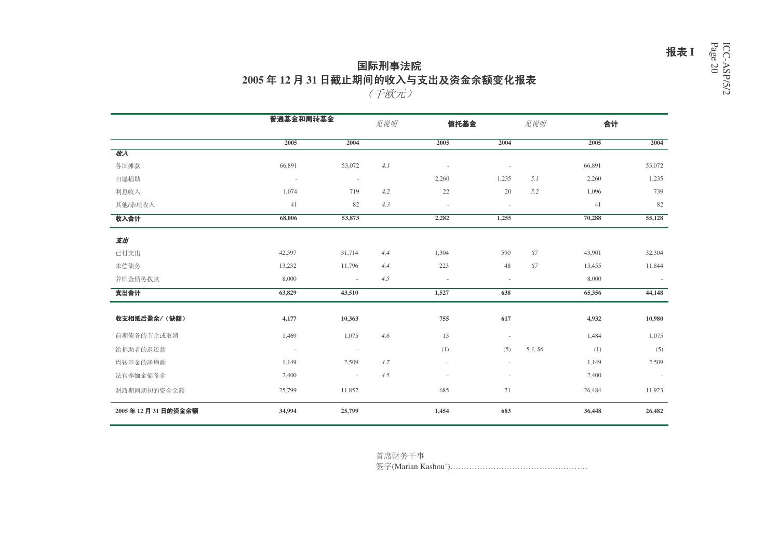# 㸼 **I**

# 国际刑事法院  $2005$  年 12 月 31 日截止期间的收入与支出及资金余额变化报表

(千欧元)

|                  | 普通基金和周转基金                |                          | 见说明 | 信托基金                     |                          | 见说明     | 合计     |                          |
|------------------|--------------------------|--------------------------|-----|--------------------------|--------------------------|---------|--------|--------------------------|
|                  | 2005                     | 2004                     |     | 2005                     | 2004                     |         | 2005   | 2004                     |
| 收入               |                          |                          |     |                          |                          |         |        |                          |
| 各国摊款             | 66,891                   | 53,072                   | 4.1 | ×,                       |                          |         | 66,891 | 53,072                   |
| 自愿捐助             | $\sim$                   | $\overline{\phantom{a}}$ |     | 2,260                    | 1,235                    | 5.1     | 2,260  | 1,235                    |
| 利息收入             | 1,074                    | 719                      | 4.2 | $22\,$                   | 20                       | 5.2     | 1,096  | 739                      |
| 其他/杂项收入          | 41                       | 82                       | 4.3 | $\overline{\phantom{a}}$ | $\overline{\phantom{a}}$ |         | 41     | 82                       |
| 收入合计             | 68,006                   | 53,873                   |     | 2,282                    | 1,255                    |         | 70,288 | 55,128                   |
| 支出               |                          |                          |     |                          |                          |         |        |                          |
| 已付支出             | 42,597                   | 31,714                   | 4.4 | 1,304                    | 590                      | $S$ 7   | 43,901 | 32,304                   |
| 未偿债务             | 13,232                   | 11,796                   | 4.4 | 223                      | 48                       | $S$ 7   | 13,455 | 11,844                   |
| 养恤金债务拨款          | 8,000                    | $\sim$                   | 4.5 | ÷,                       | $\sim$                   |         | 8,000  | $\overline{\phantom{a}}$ |
| 支出合计             | 63,829                   | 43,510                   |     | 1,527                    | 638                      |         | 65,356 | 44,148                   |
| 收支相抵后盈余/(缺额)     | 4,177                    | 10,363                   |     | 755                      | 617                      |         | 4,932  | 10,980                   |
|                  |                          |                          |     |                          |                          |         |        |                          |
| 前期债务的节余或取消       | 1,469                    | 1,075                    | 4.6 | 15                       | $\sim$                   |         | 1,484  | 1,075                    |
| 给捐助者的退还款         | $\overline{\phantom{a}}$ | $\sim$                   |     | (1)                      | (5)                      | 5.3, 56 | (1)    | (5)                      |
| 周转基金的净增额         | 1,149                    | 2,509                    | 4.7 | ×,                       | $\sim$                   |         | 1,149  | 2,509                    |
| 法官养恤金储备金         | 2,400                    | $\overline{\phantom{a}}$ | 4.5 | ٠                        |                          |         | 2,400  | $\overline{\phantom{a}}$ |
| 财政期间期初的资金余额      | 25,799                   | 11,852                   |     | 685                      | 71                       |         | 26,484 | 11,923                   |
| 2005年12月31日的资金余额 | 34,994                   | 25,799                   |     | 1,454                    | 683                      |         | 36,448 | 26,482                   |

首席财务干事 ㅒᄫ(Marian Kashou')……………………………………………

ICC-ASP/5/2 Page 20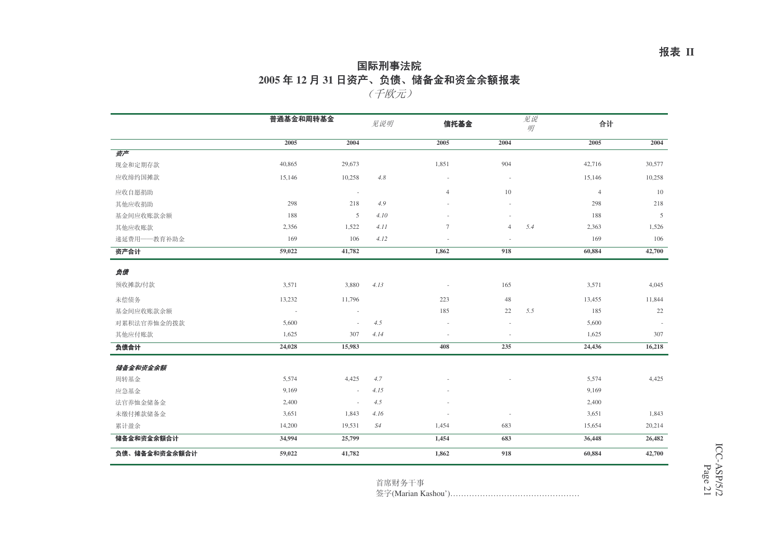## 国际刑事法院  $2005$  年 12 月 31 日资产、负债、储备金和资金余额报表 (千欧元)

|               | 普通基金和周转基金 |                          | 见说明  | 信托基金                     |                          | 见说<br>明 | 合计             |        |
|---------------|-----------|--------------------------|------|--------------------------|--------------------------|---------|----------------|--------|
|               | 2005      | 2004                     |      | 2005                     | 2004                     |         | 2005           | 2004   |
| 资产            |           |                          |      |                          |                          |         |                |        |
| 现金和定期存款       | 40,865    | 29,673                   |      | 1,851                    | 904                      |         | 42,716         | 30,577 |
| 应收缔约国摊款       | 15,146    | 10,258                   | 4.8  | ä,                       | $\overline{\phantom{a}}$ |         | 15,146         | 10,258 |
| 应收自愿捐助        |           | $\overline{\phantom{a}}$ |      | $\overline{4}$           | 10                       |         | $\overline{4}$ | 10     |
| 其他应收捐助        | 298       | 218                      | 4.9  |                          |                          |         | 298            | 218    |
| 基金间应收账款余额     | 188       | 5                        | 4.10 |                          |                          |         | 188            | 5      |
| 其他应收账款        | 2,356     | 1,522                    | 4.11 | $7\phantom{.0}$          | $\overline{4}$           | 5.4     | 2,363          | 1,526  |
| 递延费用 -- 教育补助金 | 169       | 106                      | 4.12 |                          | ×,                       |         | 169            | 106    |
| 资产合计          | 59,022    | 41,782                   |      | 1,862                    | 918                      |         | 60,884         | 42,700 |
| 负债            |           |                          |      |                          |                          |         |                |        |
| 预收摊款/付款       | 3,571     | 3,880                    | 4.13 | $\overline{\phantom{a}}$ | 165                      |         | 3,571          | 4,045  |
| 未偿债务          | 13,232    | 11,796                   |      | 223                      | 48                       |         | 13,455         | 11,844 |
| 基金间应收账款余额     | $\sim$    | $\sim$                   |      | 185                      | 22                       | 5.5     | 185            | 22     |
| 对累积法官养恤金的拨款   | 5,600     | $\sim$                   | 4.5  | $\sim$                   | $\overline{\phantom{a}}$ |         | 5,600          | $\sim$ |
| 其他应付账款        | 1,625     | 307                      | 4.14 | $\overline{\phantom{a}}$ |                          |         | 1,625          | 307    |
| 负债合计          | 24,028    | 15,983                   |      | 408                      | 235                      |         | 24,436         | 16,218 |
| 储备金和资金余额      |           |                          |      |                          |                          |         |                |        |
| 周转基金          | 5,574     | 4,425                    | 4.7  |                          |                          |         | 5,574          | 4,425  |
| 应急基金          | 9,169     | $\sim$                   | 4.15 |                          |                          |         | 9,169          |        |
| 法官养恤金储备金      | 2,400     | ×.                       | 4.5  |                          |                          |         | 2,400          |        |
| 未缴付摊款储备金      | 3,651     | 1,843                    | 4.16 |                          | $\overline{\phantom{a}}$ |         | 3,651          | 1,843  |
| 累计盈余          | 14,200    | 19,531                   | S4   | 1,454                    | 683                      |         | 15,654         | 20,214 |
| 储备金和资金余额合计    | 34,994    | 25,799                   |      | 1,454                    | 683                      |         | 36,448         | 26,482 |
| 负债、储备金和资金余额合计 | 59,022    | 41,782                   |      | 1,862                    | 918                      |         | 60,884         | 42,700 |

首席财务干事

ㅒᄫ(Marian Kashou')…………………………………………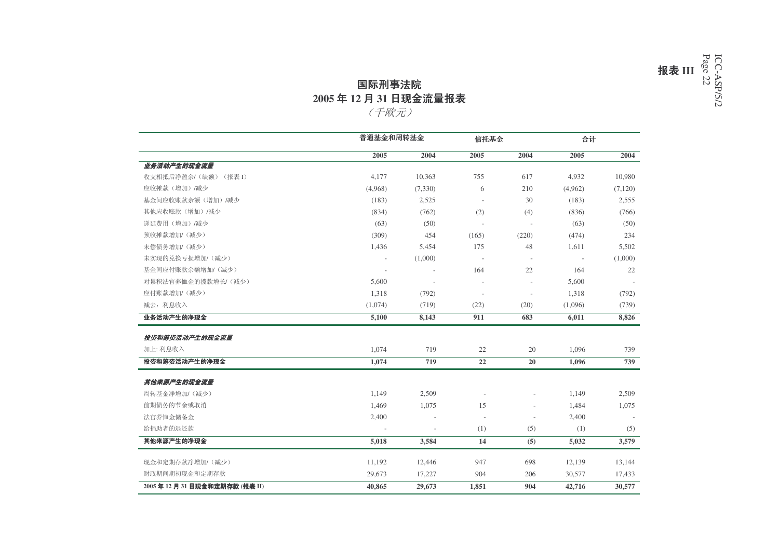## 国际刑事法院  $2005$  年 12 月 31 日现金流量报表 (千欧元)

普通基金和周转基金 信托基金 ড়䅵 **2005 2004 2005 2004 2005 2004** 业务活动产生的现金流量 收支相抵后净盈余/(缺额)(报表 I) 表 I  $\geq 4.177$   $\geq 10,363$   $\geq 755$   $\geq 617$   $\geq 4,932$   $\geq 10,980$ 应收摊款(增加)/减少 (4,968) (7,330) 6 210 (4,962) (7,120) 基金间应收账款余额(增加)/减少  $\mathcal{P}$  (183) 2,525 - 30 (183) 2,555 其他应收账款(増加)/减少 (834) (762) (2) (4) (836) (766) (50) (63) - - (50) (63) ᇥޣ/˅ࡴ˄⫼䗦ᓊ䌍 234预收摊款增加/(减少) (309) 454 (165) (220) (474) 未偿债务增加/(减少) 1.436 5.454 175 48 1.611 5.502 未实现的兑换亏损增加/(减少)  $-$  (1,000)  $-$  - (1,000) 基金间应付账款余额增加/(减少)  $-$  164 22 164 22 对累积法官养恤金的拨款增长/(减少)  $5,600$  -  $5,600$  -**应付账款増加/(減少) 1.318 (792) - - 1.318 (792)** 减去:利息收入 (1,074) (719) (22) (20) (1,096) (739) 业务活动产生的净现金 **5,100 8,143 911 683 6,011 8,826** 投资和筹资活动产生的现金流量 739加上: 利息收入 1,074 719 22 20 1,096 投资和筹资活动产生的净现金 **1,074 719 22 20 1,096 739** 其他来源产生的现金流量 周转基金净增加/(减少) 1,149 2,509 1,149 2,509 前期债务的节余或取消 消 1,469 1,075 15 - 1,484 1,075 法官养恤金储备金 金 2,400 - - - 2,400 -给捐助者的退还款 - - (1) (5) (1) (5) 其他来源产生的净现金 **5,018 3,584 14 (5) 5,032 3,579** 现金和定期存款净增加/(减少) 11,192 12,446 947 698 12,139 13,144 财政期间期初现金和定期存款 款 29,673 17,227 904 206 30,577 17,433  $2005$  年 12 月 31 日现金和定期存款 (报表 II) 40,865 29,673 1,851 904 42,716 30,577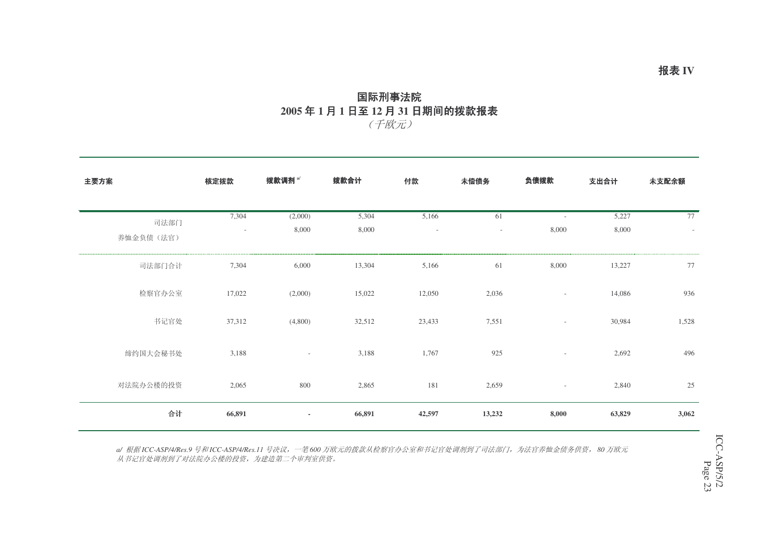## 国际刑事法院  $2005$  年 1 月 1 日至 12 月 31 日期间的拨款报表 (千欧元)

| 主要方案              | 核定拨款   | 拨款调剂 <sup>。/</sup>       | 拨款合计           | 付款     | 未偿债务                           | 负债拨款                              | 支出合计           | 未支配余额 |
|-------------------|--------|--------------------------|----------------|--------|--------------------------------|-----------------------------------|----------------|-------|
| 司法部门<br>养恤金负债(法官) | 7,304  | (2,000)<br>8,000         | 5,304<br>8,000 | 5,166  | 61<br>$\overline{\phantom{a}}$ | $\overline{\phantom{a}}$<br>8,000 | 5,227<br>8,000 | 77    |
| 司法部门合计            | 7,304  | 6,000                    | 13,304         | 5,166  | 61                             | 8,000                             | 13,227         | 77    |
| 检察官办公室            | 17,022 | (2,000)                  | 15,022         | 12,050 | 2,036                          | $\sim$                            | 14,086         | 936   |
| 书记官处              | 37,312 | (4,800)                  | 32,512         | 23,433 | 7,551                          | $\sim$                            | 30,984         | 1,528 |
| 缔约国大会秘书处          | 3,188  | $\overline{\phantom{a}}$ | 3,188          | 1,767  | 925                            | $\sim$                            | 2,692          | 496   |
| 对法院办公楼的投资         | 2,065  | 800                      | 2,865          | 181    | 2,659                          | $\sim$                            | 2,840          | 25    |
| 合计                | 66,891 | ٠                        | 66,891         | 42,597 | 13,232                         | 8,000                             | 63,829         | 3,062 |

a/ 根据ICC-ASP/4/Res.9 号和ICC-ASP/4/Res.11 号决议,一笔600 万欧元的拨款从检察官办公室和书记官处调剂到了司法部门,为法官养恤金债务供资, 80 万欧元 Ңк䆄ᅬ໘䇗ࠖࠄњᇍ⊩䰶ࡲ݀ὐⱘᡩ䌘ˈЎᓎ䗴ѠϾᅵ߸ᅸկ䌘DŽ

ICC-ASP/5/2 Page 23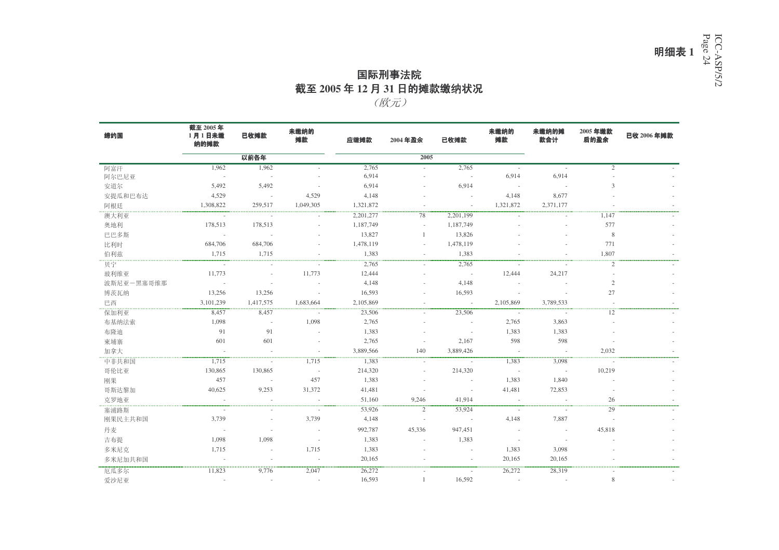ᯢ㒚㸼 **1** ICC-ASP/S/2 Page 24

# 国际刑事法院 截至 2005 年 12 月 31 日的摊款缴纳状况 (欧元)

| 缔约国          | 截至 2005年<br>1月1日未缴<br>纳的摊款 | 已收摊款            | 未缴纳的<br>摊款 | 应缴摊款             | 2004年盈余      | 已收摊款      | 未缴纳的<br>摊款 | 未缴纳的摊<br>款合计 | 2005年缴款<br>后的盈余 | 已收 2006年摊款 |
|--------------|----------------------------|-----------------|------------|------------------|--------------|-----------|------------|--------------|-----------------|------------|
|              |                            | 以前各年            |            |                  | 2005         |           |            |              |                 |            |
| 阿富汗          | 1.962                      | 1.962           |            | 2.765            |              | 2,765     |            |              | 2               |            |
| 阿尔巴尼亚        | $\sim$                     | <b>Contract</b> |            | 6,914            |              | $\sim$    | 6,914      | 6,914        |                 |            |
| 安道尔          | 5.492                      | 5,492           |            | 6,914            |              | 6,914     | $\sim 100$ | $\sim$       | 3               |            |
| 安提瓜和巴布达      | 4,529                      | $\sim 100$      | 4,529      | 4,148            |              | $\sim$    | 4,148      | 8,677        |                 |            |
| 阿根廷          | 1,308,822                  | 259,517         | 1,049,305  | 1,321,872        |              | $\sim$    | 1,321,872  | 2,371,177    |                 |            |
| 澳大利亚         | $\sim$                     | $\sim$          |            | 2,201,277        | 78           | 2.201.199 |            |              | 1,147           |            |
| 奥地利          | 178,513                    | 178,513         |            | 1,187,749        | ×.           | 1,187,749 |            |              | 577             |            |
| 巴巴多斯         | $\sim$ $-$                 | - 4             |            | 13,827           | -1           | 13,826    |            |              | 8               |            |
| 比利时          | 684,706                    | 684,706         |            | 1,478,119        |              | 1,478,119 |            |              | 771             |            |
| 伯利兹          | 1.715                      | 1,715           |            | 1.383            |              | 1.383     |            |              | 1,807           |            |
| 贝宁           |                            |                 |            | 2,765            |              | 2,765     |            |              | 2               |            |
| 玻利维亚         | 11,773                     |                 | 11,773     | 12,444           |              |           | 12,444     | 24,217       |                 |            |
| 波斯尼亚一黑塞哥维那   | $\sim$                     |                 |            | 4,148            |              | 4,148     |            |              | $\mathbf{2}$    |            |
| 博茨瓦纳         | 13,256                     | 13,256          |            | 16,593           |              | 16,593    |            |              | 27              |            |
| 巴西           | 3,101,239                  | 1,417,575       | 1,683,664  | 2,105,869        |              | $\sim$    | 2,105,869  | 3,789,533    |                 |            |
| 保加利亚         | 8,457                      | 8,457           | $\sim$     | 23,506           | $\sim$       | 23,506    | $\sim$     | - 1          | 12              |            |
| 布基纳法索        | 1,098                      | $\sim$          | 1,098      | 2,765            |              |           | 2,765      | 3,863        |                 |            |
| 布隆迪          | 91                         | 91              | - 1        | 1.383            |              | $\sim$    | 1.383      | 1,383        |                 |            |
| 柬埔寨          | 601                        | 601             |            | 2,765            | $\sim$       | 2,167     | 598        | 598          |                 |            |
| 加拿大          | $\sim$                     |                 |            | 3,889,566        | 140          | 3,889,426 | $\sim$     | $\sim$       | 2,032           |            |
| 中非共和国        | 1,715                      |                 | 1,715      | 1,383            |              |           | 1,383      | 3,098        |                 |            |
| 哥伦比亚         | 130,865                    | 130,865         | $\sim$     | 214,320          | $\sim$       | 214,320   | $\sim$ $-$ | $\sim$       | 10,219          |            |
| 刚果           | 457                        | $\sim$ $-$      | 457        | 1,383            |              | $\sim$    | 1,383      | 1,840        |                 |            |
| 哥斯达黎加        | 40,625                     | 9,253           | 31,372     | 41,481           |              | $\sim$    | 41,481     | 72,853       |                 |            |
| 克罗地亚         | $\sim$                     |                 | $\sim$     | 51,160           | 9,246        | 41,914    | $\sim$ $-$ |              | 26              |            |
| 塞浦路斯         | $\sim$                     |                 | $\sim$     | 53,926           | 2            | 53,924    | $\sim$     | $\sim$       | 29              |            |
| 刚果民主共和国      | 3,739                      | $\overline{a}$  | 3,739      | 4,148            | $\sim$       | $\sim$    | 4,148      | 7,887        | - 1             |            |
| 丹麦           | $\sim$                     | $\sim$          | $\sim$     | 992,787          | 45.336       | 947,451   |            |              | 45,818          |            |
| 吉布提          | 1,098                      | 1,098           | $\sim$     | 1,383            |              | 1,383     | $\sim$     | $\sim$       |                 |            |
| 多米尼克         | 1,715                      | $\sim$          | 1,715      | 1,383            |              | $\sim$    | 1,383      | 3,098        |                 |            |
| 多米尼加共和国      |                            |                 |            | 20.165           |              |           | 20,165     | 20.165       |                 |            |
|              |                            |                 |            |                  |              |           |            |              |                 |            |
| 厄瓜多尔<br>爱沙尼亚 | 11.823                     | 9,776           | 2.047      | 26,272<br>16,593 | $\mathbf{1}$ | 16,592    | 26,272     | 28,319       | $\,$ 8 $\,$     |            |
|              |                            |                 |            |                  |              |           |            |              |                 |            |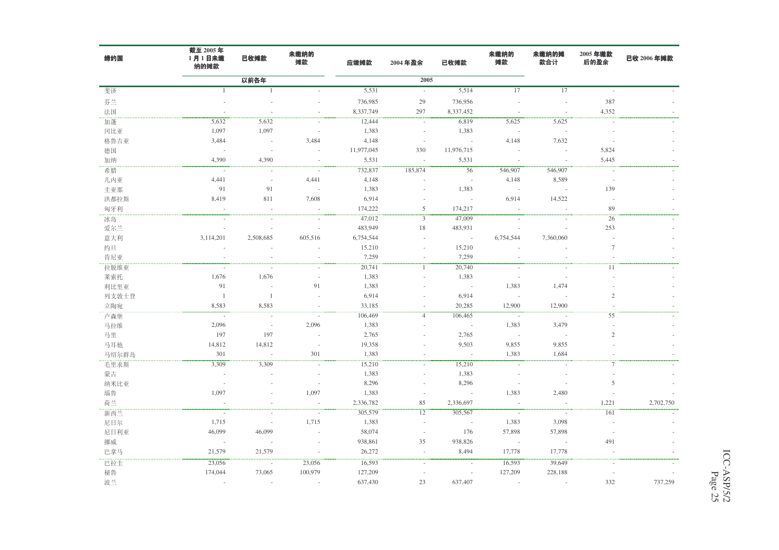| 缔约国   | 截至 2005年<br>1月1日未缴<br>纳的摊款 | 已收摊款                     | 未缴纳的<br>摊款               | 应缴摊款       | 2004年盈余                  | 已收摊款                     | 未缴纳的<br>摊款               | 未缴纳的摊<br>款合计             | 2005年缴款<br>后的盈余 | 已收 2006年摊款 |
|-------|----------------------------|--------------------------|--------------------------|------------|--------------------------|--------------------------|--------------------------|--------------------------|-----------------|------------|
|       |                            | 以前各年                     |                          |            | 2005                     |                          |                          |                          |                 |            |
| 斐济    | $\overline{1}$             | -1                       |                          | 5,531      | $\sim$                   | 5,514                    | 17                       | 17                       |                 |            |
| 芬兰    |                            |                          |                          | 736,985    | 29                       | 736,956                  |                          |                          | 387             |            |
| 法国    |                            |                          |                          | 8,337,749  | 297                      | 8,337,452                |                          | $\sim$                   | 4,352           |            |
| 加蓬    | 5,632                      | 5,632                    |                          | 12,444     | $\sim$                   | 6,819                    | 5,625                    | 5,625                    |                 |            |
| 冈比亚   | 1,097                      | 1,097                    |                          | 1,383      | $\sim$                   | 1,383                    | $\overline{\phantom{a}}$ |                          |                 |            |
| 格鲁吉亚  | 3,484                      | $\sim$                   | 3,484                    | 4,148      | $\overline{\phantom{a}}$ | $\sim 100$               | 4,148                    | 7,632                    |                 |            |
| 德国    | $\overline{\phantom{a}}$   | ×.                       | ×.                       | 11,977,045 | 330                      | 11,976,715               | ÷.                       | $\sim$                   | 5,824           |            |
| 加纳    | 4,390                      | 4,390                    | $\sim$                   | 5,531      | $\sim$                   | 5,531                    | ÷,                       | $\sim$                   | 5,445           |            |
| 希腊    |                            | $\sim$                   | $\overline{\phantom{a}}$ | 732,837    | 185,874                  | 56                       | 546,907                  | 546,907                  | $\sim$          |            |
| 几内亚   | 4,441                      | $\sim$                   | 4,441                    | 4,148      |                          | ÷,                       | 4,148                    | 8,589                    | $\sim$          |            |
| 圭亚那   | 91                         | 91                       | ÷.                       | 1,383      |                          | 1,383                    | $\sim$                   | $\overline{\phantom{a}}$ | 139             |            |
| 洪都拉斯  | 8,419                      | 811                      | 7,608                    | 6,914      |                          | $\sim$                   | 6,914                    | 14,522                   | $\sim$          |            |
| 匈牙利   | $\sim$                     | ×,                       |                          | 174,222    | 5                        | 174,217                  |                          |                          | 89              |            |
| 冰岛    | $\overline{\phantom{a}}$   | $\overline{\phantom{a}}$ | $\sim$                   | 47,012     | $\overline{3}$           | 47,009                   | $\sim$                   | $\overline{\phantom{a}}$ | $\overline{26}$ |            |
| 爱尔兰   |                            |                          |                          | 483,949    | $18\,$                   | 483,931                  | ×.                       | $\sim$                   | 253             |            |
| 意大利   | 3,114,201                  | 2,508,685                | 605,516                  | 6,754,544  | $\sim$                   | $\sim 100$               | 6,754,544                | 7,360,060                | $\sim$          |            |
| 约旦    |                            |                          | $\sim$                   | 15,210     | ×                        | 15,210                   |                          |                          | $\tau$          |            |
| 肯尼亚   |                            |                          |                          | 7,259      | ×                        | 7,259                    |                          |                          |                 |            |
| 拉脱维亚  |                            |                          |                          | 20,741     | 1                        | 20,740                   |                          |                          | 11              |            |
| 莱索托   | 1,676                      | 1,676                    | $\sim$                   | 1,383      |                          | 1,383                    | ÷.                       | $\overline{\phantom{a}}$ |                 |            |
| 利比里亚  | 91                         | ÷,                       | 91                       | 1,383      |                          | $\sim 100$               | 1,383                    | 1,474                    | ×,              |            |
| 列支敦士登 | $\overline{1}$             | -1                       |                          | 6,914      |                          | 6,914                    | $\overline{\phantom{a}}$ |                          | $\sqrt{2}$      |            |
| 立陶宛   | 8,583                      | 8,583                    |                          | 33,185     |                          | 20,285                   | 12,900                   | 12,900                   |                 |            |
| 卢森堡   |                            |                          |                          | 106,469    | $\overline{4}$           | 106,465                  | $\sim$                   |                          | 55              |            |
| 马拉维   | 2,096                      | $\sim$                   | 2,096                    | 1,383      | i.                       | $\sim$                   | 1,383                    | 3,479                    | ä,              |            |
| 马里    | 197                        | 197                      | $\overline{a}$           | 2,765      |                          | 2,765                    | $\sim$                   | ÷.                       | $\mathbf{2}$    |            |
| 马耳他   | 14,812                     | 14,812                   |                          | 19,358     |                          | 9,503                    | 9,855                    | 9,855                    |                 |            |
| 马绍尔群岛 | 301                        | i.                       | 301                      | 1,383      |                          | $\sim$                   | 1,383                    | 1,684                    |                 |            |
| 毛里求斯  | 3,309                      | 3,309                    |                          | 15,210     |                          | 15,210                   |                          |                          | $\tau$          |            |
| 蒙古    | - 11                       |                          |                          | 1,383      | $\sim$                   | 1,383                    | ÷.                       |                          | ÷.              |            |
| 纳米比亚  |                            |                          |                          | 8,296      |                          | 8,296                    |                          |                          | 5               |            |
| 瑙鲁    | 1,097                      |                          | 1,097                    | 1,383      |                          | $\sim$                   | 1,383                    | 2,480                    |                 |            |
| 荷兰    | $\sim 100$                 | ×.                       | ÷.                       | 2,336,782  | 85                       | 2,336,697                | $\sim$                   | $\sim$                   | 1,221           | 2,702,750  |
| 新西兰   | $\sim 100$                 | $\sim$                   | $\overline{\phantom{a}}$ | 305,579    | 12                       | 305,567                  | $\sim$ $-$               | $\sim$                   | 161             |            |
| 尼日尔   | 1,715                      | $\overline{\phantom{a}}$ | 1,715                    | 1,383      | $\sim$                   | $\sim$                   | 1,383                    | 3,098                    | $\sim$          |            |
| 尼日利亚  | 46,099                     | 46,099                   |                          | 58,074     | $\sim$                   | 176                      | 57,898                   | 57,898                   | $\sim$          |            |
| 挪威    | $\sim$                     |                          |                          | 938,861    | 35                       | 938,826                  | $\sim$                   | ÷.                       | 491             |            |
| 巴拿马   | 21,579                     | 21,579                   |                          | 26,272     | $\sim$                   | 8,494                    | 17,778                   | 17,778                   |                 |            |
| 巴拉圭   | 23,056                     |                          | 23,056                   | 16,593     |                          | $\overline{\phantom{a}}$ | 16,593                   | 39,649                   |                 |            |
| 秘鲁    | 174,044                    | 73,065                   | 100,979                  | 127,209    | $\overline{\phantom{a}}$ |                          | 127,209                  | 228,188                  |                 |            |
| 波兰    | $\sim$                     | $\sim$                   | $\overline{\phantom{a}}$ | 637,430    | 23                       | 637,407                  | $\sim$                   | $\overline{\phantom{a}}$ | 332             | 737,259    |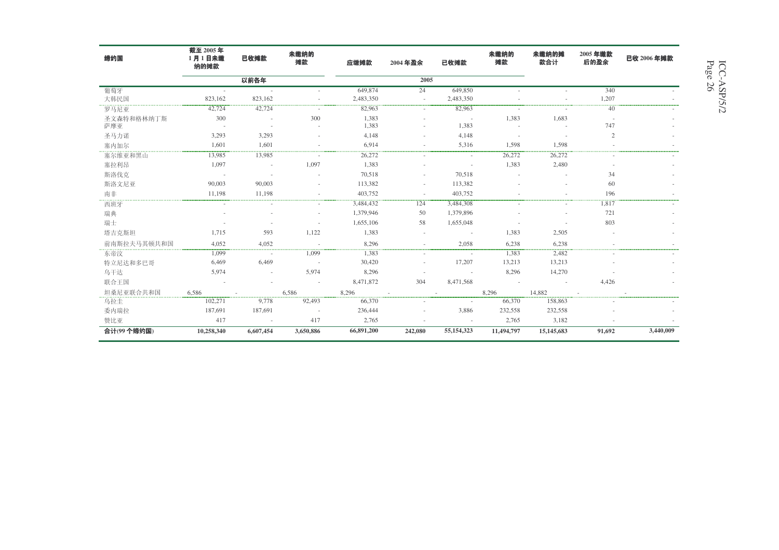| 缔约国          | 截至 2005年<br>1月1日未缴<br>纳的摊款 | 已收摊款       | 未缴纳的<br>摊款 | 应缴摊款                   | 2004年盈余   | 已收摊款                     | 未缴纳的<br>摊款      | 未缴纳的摊<br>款合计             | 2005年缴款<br>后的盈余 | 已收 2006年摊款 |
|--------------|----------------------------|------------|------------|------------------------|-----------|--------------------------|-----------------|--------------------------|-----------------|------------|
|              |                            | 以前各年       |            |                        | 2005      |                          |                 |                          |                 |            |
| 葡萄牙          |                            | $\sim$     |            | 649,874                | 24        | 649,850                  |                 |                          | 340             |            |
| 大韩民国         | 823,162                    | 823,162    |            | 2,483,350              |           | 2,483,350                |                 |                          | 1.207           |            |
| 罗马尼亚         | 42,724                     | 42,724     |            | 82,963                 |           | 82,963                   |                 |                          | 40              |            |
| 圣文森特和格林纳丁斯   | 300                        | ÷.         | 300        | 1,383<br>1,383         |           | $\sim$<br>1,383          | 1,383           | 1,683                    | $\sim$<br>747   |            |
| 萨摩亚          | 3,293                      | 3,293      |            | 4,148                  |           | 4,148                    |                 |                          | 2               |            |
| 圣马力诺<br>塞内加尔 | 1.601                      | 1.601      |            | 6,914                  | ÷         | 5,316                    | $\sim$<br>1,598 | 1.598                    |                 |            |
|              |                            |            |            |                        |           |                          |                 |                          |                 |            |
| 塞尔维亚和黑山      | 13,985<br>1,097            | 13,985     | 1,097      | 26,272<br>1,383        |           |                          | 26,272<br>1,383 | 26,272<br>2,480          |                 |            |
| 塞拉利昂<br>斯洛伐克 |                            |            |            | 70,518                 | ٠         | $\sim$<br>70,518         |                 |                          | 34              |            |
|              | 90,003                     | 90,003     |            | 113,382                |           | 113,382                  |                 |                          | 60              |            |
| 斯洛文尼亚        | 11,198                     | 11.198     |            | 403,752                |           | 403,752                  |                 |                          | 196             |            |
| 南非           |                            |            |            |                        |           |                          |                 |                          |                 |            |
| 西班牙          |                            |            |            | 3,484,432<br>1,379,946 | 124<br>50 | 3,484,308<br>1,379,896   |                 |                          | 1,817<br>721    |            |
| 瑞典           |                            |            |            |                        |           |                          |                 |                          | 803             |            |
| 瑞士           |                            |            |            | 1,655,106              | 58        | 1,655,048                |                 |                          |                 |            |
| 塔吉克斯坦        | 1,715                      | 593        | 1,122      | 1,383                  |           | $\overline{\phantom{a}}$ | 1,383           | 2,505                    |                 |            |
| 前南斯拉夫马其顿共和国  | 4.052                      | 4.052      |            | 8.296                  | $\sim$    | 2,058                    | 6.238           | 6.238                    |                 |            |
| 东帝汶          | 1,099                      |            | 1,099      | 1,383                  |           |                          | 1,383           | 2,482                    |                 |            |
| 特立尼达和多巴哥     | 6,469                      | 6,469      |            | 30,420                 | ÷         | 17,207                   | 13,213          | 13,213                   |                 |            |
| 乌干达          | 5,974                      |            | 5,974      | 8,296                  |           | $\sim$                   | 8,296           | 14,270                   |                 |            |
| 联合王国         |                            |            |            | 8,471,872              | 304       | 8,471,568                |                 | $\overline{\phantom{a}}$ | 4,426           |            |
| 坦桑尼亚联合共和国    | 6.586                      |            | 6.586      | 8.296                  |           |                          | 8.296           | 14,882                   |                 |            |
| 乌拉圭          | 102,271                    | 9,778      | 92,493     | 66,370                 |           |                          | 66,370          | 158,863                  |                 |            |
| 委内瑞拉         | 187,691                    | 187,691    | $\sim$     | 236,444                |           | 3,886                    | 232,558         | 232,558                  |                 |            |
| 赞比亚          | 417                        | $\sim 100$ | 417        | 2,765                  |           | $\sim$                   | 2,765           | 3,182                    |                 |            |
| 合计(99个缔约国)   | 10,258,340                 | 6,607,454  | 3,650,886  | 66,891,200             | 242,080   | 55, 154, 323             | 11,494,797      | 15,145,683               | 91,692          | 3,440,009  |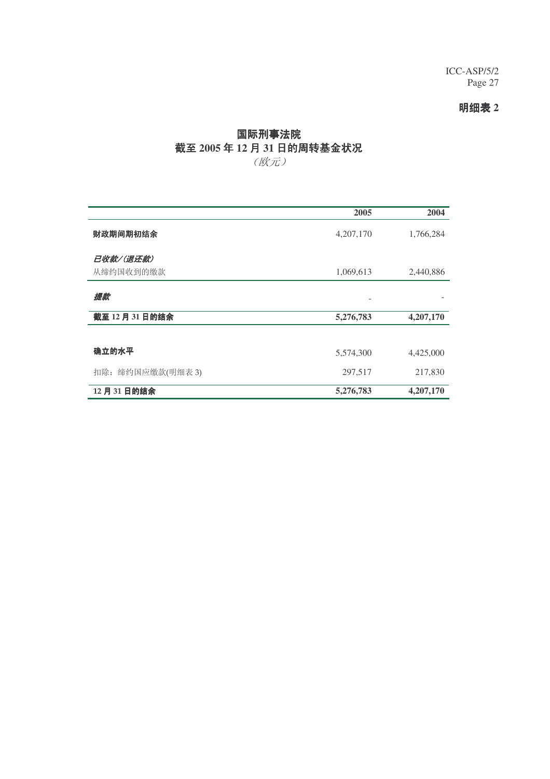## ᯢ㒚㸼 **2**

# 国际刑事法院 截至 2005 年 12 月 31 日的周转基金状况

(欧元)

|                        | 2005      | 2004      |
|------------------------|-----------|-----------|
| 财政期间期初结余               | 4,207,170 | 1,766,284 |
| 已收款/(退还款)<br>从缔约国收到的缴款 | 1,069,613 | 2,440,886 |
| 提款                     |           |           |
| 截至 12 月 31 日的结余        | 5,276,783 | 4,207,170 |
|                        |           |           |
| 确立的水平                  | 5,574,300 | 4,425,000 |
| 扣除: 缔约国应缴款(明细表 3)      | 297,517   | 217,830   |
| 12月31日的结余              | 5,276,783 | 4,207,170 |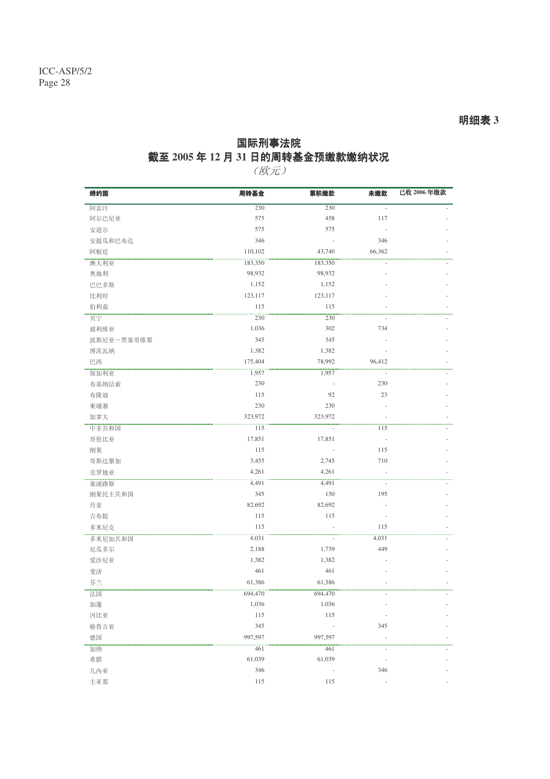# 国际刑事法院 截至 2005 年 12 月 31 日的周转基金预缴款缴纳状况

 $(\overline{\mathbb{K}}\overline{\pi})$ 

| 缔约国        | 周转基金    | 累积缴款    | 未缴款                      | 已收 2006年缴款 |
|------------|---------|---------|--------------------------|------------|
| 阿富汗        | 230     | 230     |                          |            |
| 阿尔巴尼亚      | 575     | 458     | 117                      |            |
| 安道尔        | 575     | 575     | $\overline{\phantom{a}}$ |            |
| 安提瓜和巴布达    | 346     |         | 346                      |            |
| 阿根廷        | 110,102 | 43,740  | 66,362                   |            |
| 澳大利亚       | 183,350 | 183,350 |                          |            |
| 奥地利        | 98,932  | 98,932  |                          |            |
| 巴巴多斯       | 1,152   | 1,152   |                          |            |
| 比利时        | 123,117 | 123,117 |                          |            |
| 伯利兹        | 115     | 115     |                          |            |
| 贝宁         | 230     | 230     |                          |            |
| 玻利维亚       | 1,036   | 302     | 734                      |            |
| 波斯尼亚一黑塞哥维那 | 345     | 345     |                          |            |
| 博茨瓦纳       | 1,382   | 1,382   |                          |            |
| 巴西         | 175,404 | 78,992  | 96,412                   |            |
| 保加利亚       | 1,957   | 1,957   |                          |            |
| 布基纳法索      | 230     |         | 230                      |            |
| 布隆迪        | 115     | 92      | 23                       |            |
| 柬埔寨        | 230     | 230     | ÷,                       |            |
| 加拿大        | 323,972 | 323,972 |                          |            |
| 中非共和国      | 115     |         | 115                      |            |
| 哥伦比亚       | 17,851  | 17,851  | $\overline{\phantom{a}}$ |            |
| 刚果         | 115     |         | 115                      |            |
| 哥斯达黎加      | 3,455   | 2,745   | 710                      |            |
| 克罗地亚       | 4,261   | 4,261   |                          |            |
| 塞浦路斯       | 4,491   | 4,491   |                          |            |
| 刚果民主共和国    | 345     | 150     | 195                      |            |
| 丹麦         | 82,692  | 82,692  |                          |            |
| 吉布提        | 115     | 115     |                          |            |
| 多米尼克       | 115     |         | 115                      |            |
| 多米尼加共和国    | 4,031   |         | 4,031                    |            |
| 厄瓜多尔       | 2,188   | 1,739   | 449                      |            |
| 爱沙尼亚       | 1,382   | 1,382   |                          |            |
| 斐济         | 461     | 461     |                          |            |
| 芬兰         | 61,386  | 61,386  |                          |            |
| 法国         | 694,470 | 694,470 |                          |            |
| 加蓬         | 1,036   | 1,036   |                          |            |
| 冈比亚        | 115     | 115     |                          |            |
| 格鲁吉亚       | 345     |         | 345                      |            |
| 德国         | 997,597 | 997,597 |                          |            |
| 加纳         | 461     | 461     |                          |            |
| 希腊         | 61,039  | 61,039  |                          |            |
|            | 346     |         | 346                      |            |
| 几内亚        |         |         |                          |            |
| 圭亚那        | 115     | 115     |                          |            |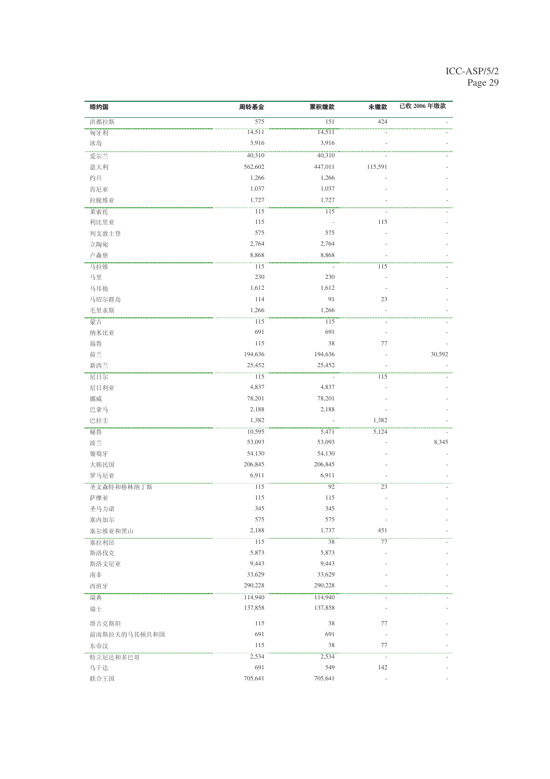| 缔约国          | 周转基金    | 累积缴款    | 未缴款                      | 已收 2006年缴款 |
|--------------|---------|---------|--------------------------|------------|
| 洪都拉斯         | 575     | 151     | 424                      |            |
| 匈牙利          | 14,511  | 14,511  |                          |            |
| 冰岛           | 3,916   | 3,916   |                          |            |
| 爱尔兰          | 40,310  | 40,310  |                          |            |
| 意大利          | 562,602 | 447,011 | 115,591                  |            |
| 约旦           | 1,266   | 1,266   |                          |            |
| 肯尼亚          | 1,037   | 1,037   |                          |            |
| 拉脱维亚         | 1,727   | 1,727   |                          |            |
| 莱索托          | 115     | 115     |                          |            |
| 利比里亚         | 115     |         | 115                      |            |
| 列支敦士登        | 575     | 575     |                          |            |
| 立陶宛          | 2,764   | 2,764   |                          |            |
| 卢森堡          | 8,868   | 8,868   |                          |            |
| 马拉维          | 115     |         | 115                      |            |
| 马里           | 230     | 230     |                          |            |
| 马耳他          | 1,612   | 1,612   |                          |            |
| 马绍尔群岛        | 114     | 91      | 23                       |            |
| 毛里求斯         | 1,266   | 1,266   |                          |            |
| 蒙古           | 115     | 115     |                          |            |
| 纳米比亚         | 691     | 691     | $\overline{\phantom{a}}$ |            |
| 瑙鲁           | 115     | 38      | 77                       |            |
| 荷兰           | 194,636 | 194,636 |                          | 30,592     |
| 新西兰          | 25,452  | 25,452  |                          |            |
| 尼日尔          | 115     |         | 115                      |            |
| 尼日利亚         | 4,837   | 4,837   |                          |            |
| 挪威           | 78,201  | 78,201  |                          |            |
| 巴拿马          | 2,188   | 2,188   |                          |            |
| 巴拉圭          | 1,382   |         | 1,382                    |            |
| 秘鲁           | 10,595  | 5,471   | 5,124                    |            |
| 波兰           | 53,093  | 53,093  |                          | 8,345      |
| 葡萄牙          | 54,130  | 54,130  |                          |            |
| 大韩民国         | 206,845 | 206,845 |                          |            |
| 罗马尼亚         | 6,911   | 6,911   |                          |            |
| 圣文森特和格林纳丁斯   | 115     | 92      | 23                       |            |
| 萨摩亚          | 115     | 115     |                          |            |
| 圣马力诺         | 345     | 345     |                          |            |
| 塞内加尔         | 575     | 575     | ÷                        |            |
| 塞尔维亚和黑山      | 2,188   | 1,737   | 451                      |            |
| 塞拉利昂         | 115     | 38      | 77                       |            |
| 斯洛伐克         | 5,873   | 5,873   |                          |            |
| 斯洛文尼亚        | 9,443   | 9,443   |                          |            |
| 南非           | 33,629  | 33,629  |                          |            |
| 西班牙          | 290,228 | 290,228 |                          |            |
| 瑞典           | 114,940 | 114,940 |                          |            |
| 瑞士           | 137,858 | 137,858 |                          |            |
| 塔吉克斯坦        | 115     | 38      | 77                       |            |
| 前南斯拉夫的马其顿共和国 | 691     | 691     | ä,                       |            |
| 东帝汶          | 115     | 38      | 77                       |            |
| 特立尼达和多巴哥     | 2,534   | 2,534   |                          |            |
| 乌干达          | 691     | 549     | 142                      |            |
| 联合王国         | 705,641 | 705,641 | ä,                       |            |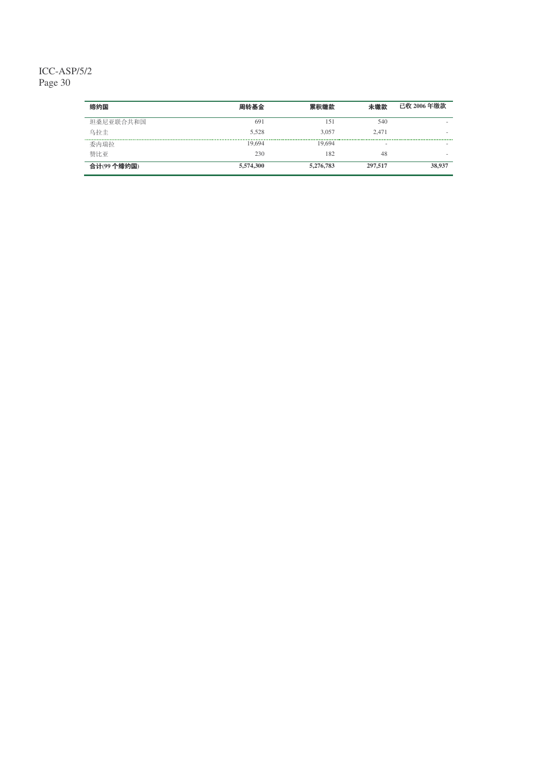| 缔约国        | 周转基金      | 累积缴款      | 未缴款     | 已收 2006 年缴款 |
|------------|-----------|-----------|---------|-------------|
| 坦桑尼亚联合共和国  | 691       | 151       | 540     |             |
| 乌拉圭        | 5.528     | 3.057     | 2.471   |             |
| 委内瑞拉       | 19.694    | 19.694    |         |             |
| 赞比亚        | 230       | 182       | 48      |             |
| 合计(99个缔约国) | 5,574,300 | 5,276,783 | 297,517 | 38.937      |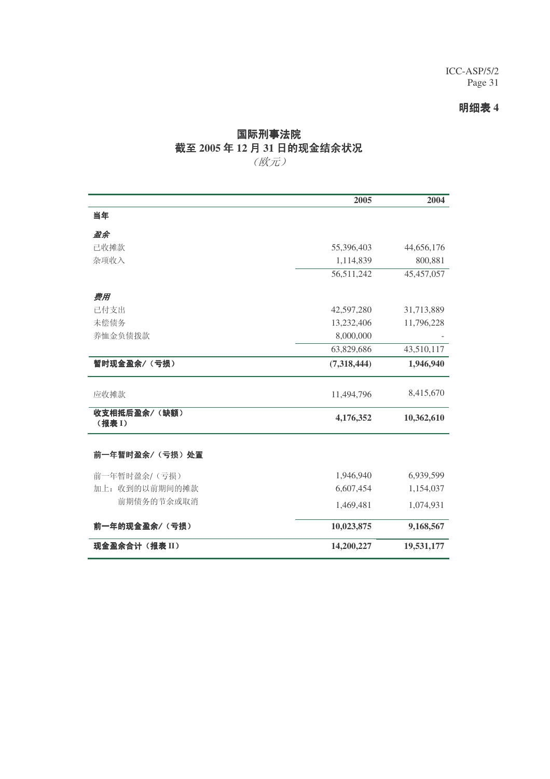## ᯢ㒚㸼 **4**

# 国际刑事法院 截至 2005 年 12 月 31 日的现金结余状况

(欧元)

|                        | 2005        | 2004       |
|------------------------|-------------|------------|
| 当年                     |             |            |
| 盈余                     |             |            |
| 已收摊款                   | 55,396,403  | 44,656,176 |
| 杂项收入                   | 1,114,839   | 800,881    |
|                        | 56,511,242  | 45,457,057 |
| 费用                     |             |            |
| 已付支出                   | 42,597,280  | 31,713,889 |
| 未偿债务                   | 13,232,406  | 11,796,228 |
| 养恤金负债拨款                | 8,000,000   |            |
|                        | 63,829,686  | 43,510,117 |
| 暂时现金盈余/(亏损)            | (7,318,444) | 1,946,940  |
| 应收摊款                   | 11,494,796  | 8,415,670  |
| 收支相抵后盈余/(缺额)<br>(报表 I) | 4,176,352   | 10,362,610 |
| 前一年暂时盈余/(亏损)处置         |             |            |
|                        |             |            |
| 前一年暂时盈余/(亏损)           | 1,946,940   | 6,939,599  |
| 加上: 收到的以前期间的摊款         | 6,607,454   | 1,154,037  |
| 前期债务的节余或取消             | 1,469,481   | 1,074,931  |
| 前一年的现金盈余/(亏损)          | 10,023,875  | 9,168,567  |
| 现金盈余合计(报表 II)          | 14,200,227  | 19,531,177 |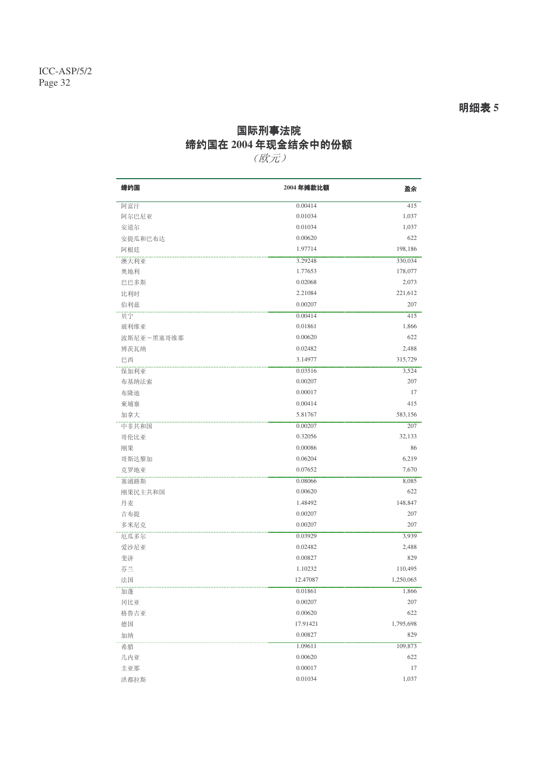# 国际刑事法院 缔约国在 2004 年现金结余中的份额

(欧元)

| 阿富汗<br>0.00414<br>阿尔巴尼亚<br>0.01034<br>0.01034<br>安道尔<br>安提瓜和巴布达<br>0.00620<br>阿根廷<br>1.97714<br>3.29248<br>澳大利亚<br>1.77653<br>奥地利<br>巴巴多斯<br>0.02068<br>2.21084<br>比利时<br>伯利兹<br>0.00207<br>0.00414<br>贝宁<br>0.01861<br>玻利维亚<br>0.00620<br>波斯尼亚一黑塞哥维那<br>博茨瓦纳<br>0.02482<br>巴西<br>3.14977<br>保加利亚<br>0.03516<br>0.00207<br>布基纳法索 | 415<br>1,037<br>1,037<br>622<br>198,186<br>330,034<br>178,077 |
|----------------------------------------------------------------------------------------------------------------------------------------------------------------------------------------------------------------------------------------------------------------------------------------------------------------------------------|---------------------------------------------------------------|
|                                                                                                                                                                                                                                                                                                                                  |                                                               |
|                                                                                                                                                                                                                                                                                                                                  |                                                               |
|                                                                                                                                                                                                                                                                                                                                  |                                                               |
|                                                                                                                                                                                                                                                                                                                                  |                                                               |
|                                                                                                                                                                                                                                                                                                                                  |                                                               |
|                                                                                                                                                                                                                                                                                                                                  |                                                               |
|                                                                                                                                                                                                                                                                                                                                  |                                                               |
|                                                                                                                                                                                                                                                                                                                                  | 2,073                                                         |
|                                                                                                                                                                                                                                                                                                                                  | 221,612                                                       |
|                                                                                                                                                                                                                                                                                                                                  | 207                                                           |
|                                                                                                                                                                                                                                                                                                                                  | 415                                                           |
|                                                                                                                                                                                                                                                                                                                                  | 1,866                                                         |
|                                                                                                                                                                                                                                                                                                                                  | 622                                                           |
|                                                                                                                                                                                                                                                                                                                                  | 2,488                                                         |
|                                                                                                                                                                                                                                                                                                                                  | 315,729                                                       |
|                                                                                                                                                                                                                                                                                                                                  | 3,524                                                         |
|                                                                                                                                                                                                                                                                                                                                  | 207                                                           |
| 0.00017<br>布降迪                                                                                                                                                                                                                                                                                                                   | 17                                                            |
| 柬埔寨<br>0.00414                                                                                                                                                                                                                                                                                                                   | 415                                                           |
| 5.81767<br>加拿大                                                                                                                                                                                                                                                                                                                   | 583,156                                                       |
| 0.00207<br>中非共和国                                                                                                                                                                                                                                                                                                                 | 207                                                           |
| 0.32056<br>哥伦比亚                                                                                                                                                                                                                                                                                                                  | 32,133                                                        |
| 刚果<br>0.00086                                                                                                                                                                                                                                                                                                                    | 86                                                            |
| 0.06204<br>哥斯达黎加                                                                                                                                                                                                                                                                                                                 | 6,219                                                         |
| 0.07652<br>克罗地亚                                                                                                                                                                                                                                                                                                                  | 7,670                                                         |
| 0.08066<br>塞浦路斯                                                                                                                                                                                                                                                                                                                  | 8,085                                                         |
| 0.00620<br>刚果民主共和国                                                                                                                                                                                                                                                                                                               | 622                                                           |
| 丹麦<br>1.48492                                                                                                                                                                                                                                                                                                                    | 148,847                                                       |
| 吉布提<br>0.00207                                                                                                                                                                                                                                                                                                                   | 207                                                           |
| 0.00207<br>多米尼克                                                                                                                                                                                                                                                                                                                  | 207                                                           |
| 0.03929<br>厄瓜多尔                                                                                                                                                                                                                                                                                                                  | 3,939                                                         |
| 0.02482<br>爱沙尼亚                                                                                                                                                                                                                                                                                                                  | 2,488                                                         |
| 斐济<br>0.00827                                                                                                                                                                                                                                                                                                                    | 829                                                           |
| 芬兰<br>1.10232                                                                                                                                                                                                                                                                                                                    | 110,495                                                       |
| 12.47087<br>法国                                                                                                                                                                                                                                                                                                                   | 1,250,065                                                     |
| 0.01861<br>加蓬                                                                                                                                                                                                                                                                                                                    | 1,866                                                         |
| 冈比亚<br>0.00207                                                                                                                                                                                                                                                                                                                   | 207                                                           |
| 0.00620<br>格鲁吉亚                                                                                                                                                                                                                                                                                                                  | 622                                                           |
| 17.91421<br>德国                                                                                                                                                                                                                                                                                                                   | 1,795,698                                                     |
| 0.00827<br>加纳                                                                                                                                                                                                                                                                                                                    | 829                                                           |
| 1.09611<br>希腊                                                                                                                                                                                                                                                                                                                    | 109,873                                                       |
| 0.00620<br>几内亚                                                                                                                                                                                                                                                                                                                   | 622                                                           |
| 0.00017<br>圭亚那                                                                                                                                                                                                                                                                                                                   |                                                               |
| 0.01034<br>洪都拉斯                                                                                                                                                                                                                                                                                                                  | 17                                                            |

ᯢ㒚㸼 **5**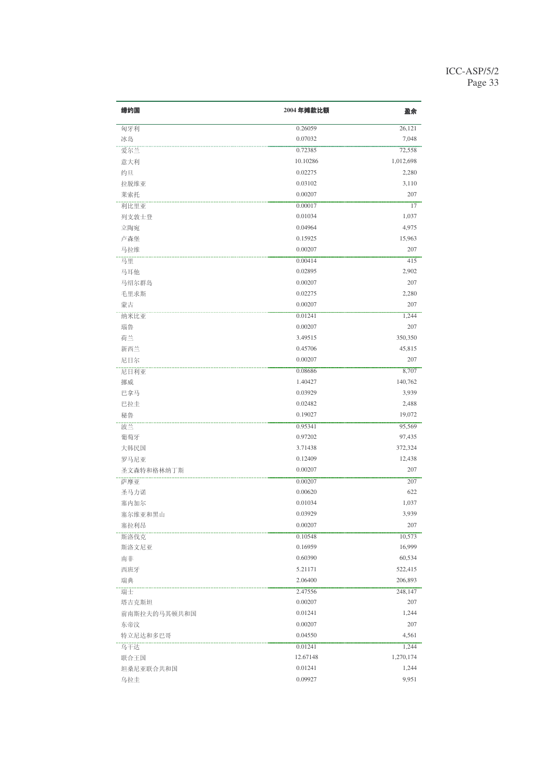| 缔约国          | 2004年摊款比额 | 盈余        |
|--------------|-----------|-----------|
| 匈牙利          | 0.26059   | 26,121    |
| 冰岛           | 0.07032   | 7,048     |
| 爱尔兰          | 0.72385   | 72,558    |
| 意大利          | 10.10286  | 1,012,698 |
| 约旦           | 0.02275   | 2,280     |
| 拉脱维亚         | 0.03102   | 3,110     |
| 莱索托          | 0.00207   | 207       |
| 利比里亚         | 0.00017   | 17        |
| 列支敦士登        | 0.01034   | 1,037     |
| 立陶宛          | 0.04964   | 4,975     |
| 卢森堡          | 0.15925   | 15,963    |
| 马拉维          | 0.00207   | 207       |
| 马里           | 0.00414   | 415       |
| 马耳他          | 0.02895   | 2,902     |
| 马绍尔群岛        | 0.00207   | 207       |
| 毛里求斯         | 0.02275   | 2,280     |
| 蒙古           | 0.00207   | 207       |
| 纳米比亚         | 0.01241   | 1,244     |
| 瑙鲁           | 0.00207   | 207       |
| 荷兰           | 3.49515   | 350,350   |
| 新西兰          | 0.45706   | 45,815    |
| 尼日尔          | 0.00207   | 207       |
| 尼日利亚         | 0.08686   | 8,707     |
| 挪威           | 1.40427   | 140,762   |
| 巴拿马          | 0.03929   | 3,939     |
| 巴拉圭          | 0.02482   | 2,488     |
| 秘鲁           | 0.19027   | 19,072    |
| 波兰           | 0.95341   | 95,569    |
| 葡萄牙          | 0.97202   | 97,435    |
| 大韩民国         | 3.71438   | 372,324   |
| 罗马尼亚         | 0.12409   | 12,438    |
| 圣文森特和格林纳丁斯   | 0.00207   | 207       |
| 萨摩亚          | 0.00207   | 207       |
| 圣马力诺         | 0.00620   | 622       |
| 塞内加尔         | 0.01034   | 1,037     |
| 塞尔维亚和黑山      | 0.03929   | 3,939     |
| 塞拉利昂         | 0.00207   | 207       |
| 斯洛伐克         | 0.10548   | 10,573    |
| 斯洛文尼亚        | 0.16959   | 16,999    |
| 南非           | 0.60390   | 60,534    |
| 西班牙          | 5.21171   | 522,415   |
| 瑞典           | 2.06400   | 206,893   |
|              | 2.47556   | 248,147   |
| 瑞士<br>塔吉克斯坦  | 0.00207   | 207       |
|              | 0.01241   | 1,244     |
| 前南斯拉夫的马其顿共和国 | 0.00207   | 207       |
| 东帝汶          |           |           |
| 特立尼达和多巴哥     | 0.04550   | 4,561     |
| 乌干达          | 0.01241   | 1,244     |
| 联合王国         | 12.67148  | 1,270,174 |
| 坦桑尼亚联合共和国    | 0.01241   | 1,244     |
| 乌拉圭          | 0.09927   | 9,951     |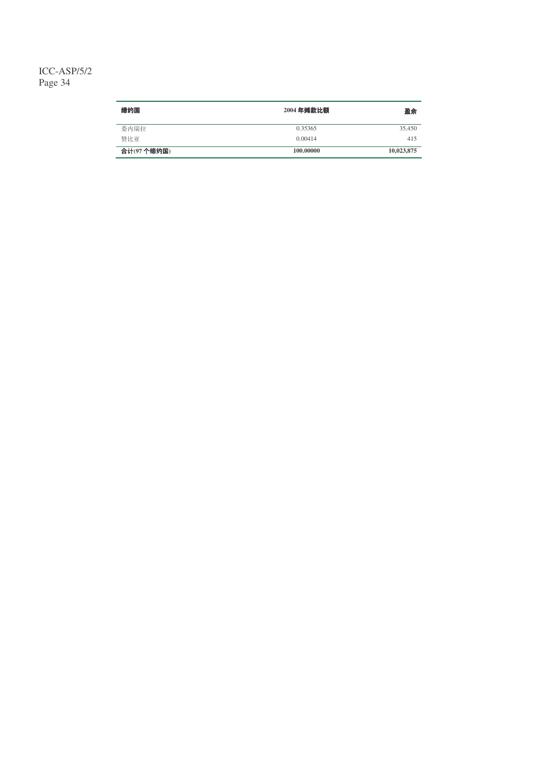| 缔约国        | 2004 年摊款比额 | 盈余         |
|------------|------------|------------|
| 委内瑞拉       | 0.35365    | 35,450     |
| 赞比亚        | 0.00414    | 415        |
| 合计(97个缔约国) | 100.00000  | 10,023,875 |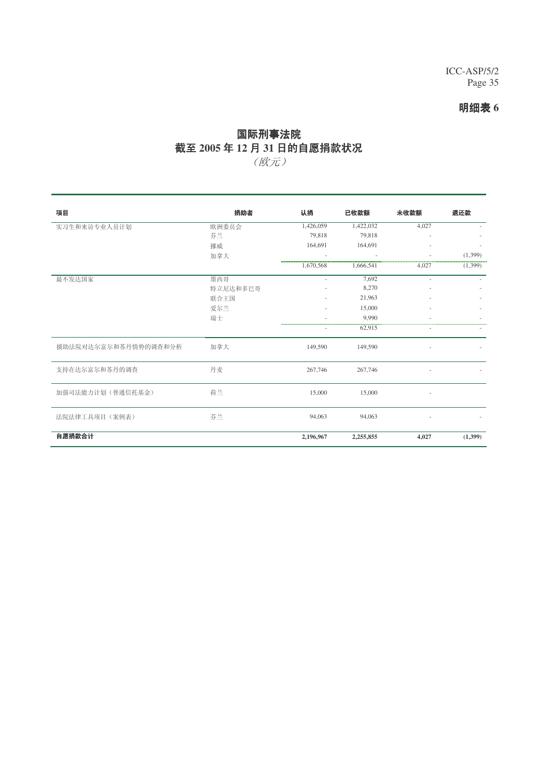## **明细表 6**

# 国际刑事法院 截至 2005 年 12 月 31 日的自愿捐款状况 (欧元)

| 项目                   | 捐助者      | 认捐        | 已收款额      | 未收款额   | 退还款     |
|----------------------|----------|-----------|-----------|--------|---------|
| 实习生和来访专业人员计划         | 欧洲委员会    | 1,426,059 | 1,422,032 | 4,027  |         |
|                      | 芬兰       | 79,818    | 79,818    |        |         |
|                      | 挪威       | 164,691   | 164,691   |        |         |
|                      | 加拿大      | $\sim$    |           |        | (1,399) |
|                      |          | 1,670,568 | 1,666,541 | 4,027  | (1,399) |
| 最不发达国家               | 墨西哥      | $\sim$    | 7.692     | $\sim$ |         |
|                      | 特立尼达和多巴哥 |           | 8,270     |        |         |
|                      | 联合王国     |           | 21,963    |        |         |
|                      | 爱尔兰      | ٠         | 15,000    |        |         |
|                      | 瑞士       |           | 9,990     |        |         |
|                      |          |           | 62,915    |        |         |
| 援助法院对达尔富尔和苏丹情势的调查和分析 | 加拿大      | 149,590   | 149,590   |        |         |
| 支持在达尔富尔和苏丹的调查        | 丹麦       | 267,746   | 267,746   |        |         |
| 加强司法能力计划(普通信托基金)     | 荷兰       | 15,000    | 15,000    | $\sim$ |         |
| 法院法律工具项目(案例表)        | 芬兰       | 94,063    | 94,063    |        |         |
| 自愿捐款合计               |          | 2,196,967 | 2,255,855 | 4,027  | (1,399) |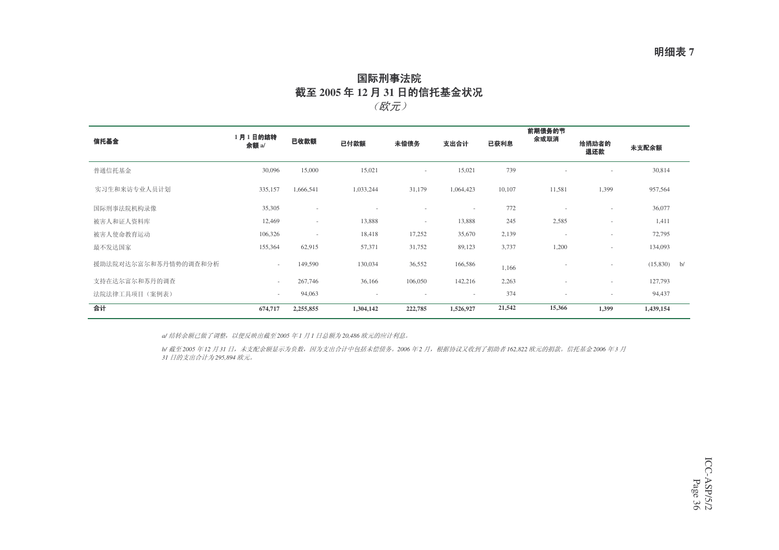## 国际刑事法院 截至 2005 年 12 月 31 日的信托基金状况 (欧元)

| 信托基金                 | 1月1日的结转<br>余额 a/ | 已收款额                     | 已付款额                     | 未偿债务                     | 支出合计      | 已获利息   | 前期债务的节<br>余或取消 | 给捐助者的<br>退还款 | 未支配余额         |
|----------------------|------------------|--------------------------|--------------------------|--------------------------|-----------|--------|----------------|--------------|---------------|
| 普通信托基金               | 30,096           | 15,000                   | 15,021                   | $\sim$                   | 15,021    | 739    | ٠              | $\sim$       | 30,814        |
| 实习生和来访专业人员计划         | 335,157          | 1,666,541                | 1,033,244                | 31,179                   | 1,064,423 | 10,107 | 11,581         | 1,399        | 957,564       |
| 国际刑事法院机构录像           | 35,305           | $\overline{\phantom{a}}$ | $\overline{\phantom{a}}$ | $\overline{\phantom{a}}$ | $\sim$    | 772    | ٠              | $\sim$       | 36,077        |
| 被害人和证人资料库            | 12,469           | $\sim$                   | 13,888                   | $\sim$                   | 13,888    | 245    | 2,585          | $\sim$       | 1,411         |
| 被害人使命教育运动            | 106,326          | $\sim$                   | 18,418                   | 17,252                   | 35,670    | 2,139  | $\sim$         | $\sim$       | 72,795        |
| 最不发达国家               | 155,364          | 62,915                   | 57,371                   | 31,752                   | 89,123    | 3,737  | 1,200          | $\sim$       | 134,093       |
| 援助法院对达尔富尔和苏丹情势的调查和分析 | $\sim$           | 149,590                  | 130,034                  | 36,552                   | 166,586   | 1,166  |                | $\sim$       | $(15,830)$ b/ |
| 支持在达尔富尔和苏丹的调查        | $\sim$           | 267,746                  | 36,166                   | 106,050                  | 142,216   | 2,263  | ٠              | $\sim$       | 127,793       |
| 法院法律工具项目 (案例表)       | $\sim$           | 94,063                   | $\overline{\phantom{a}}$ |                          | $\sim$    | 374    | ۰              | $\sim$       | 94,437        |
| 合计                   | 674,717          | 2,255,855                | 1,304,142                | 222,785                  | 1,526,927 | 21,542 | 15,366         | 1,399        | 1,439,154     |

*a/ 结转余额已做了调整,以便反映出截至* 2005 *年 1 月 1 日总额为* 20,486 *欧元的应计利息。* 

b/ 截至2005 年12 月31 日,未支配余额显示为负数,因为支出合计中包括未偿债务。2006 年2 月,根据协议又收到了捐助者 162,822 欧元的捐款。信托基金 2006 年3 月 31 日的支出合计为295,894 *欧元。*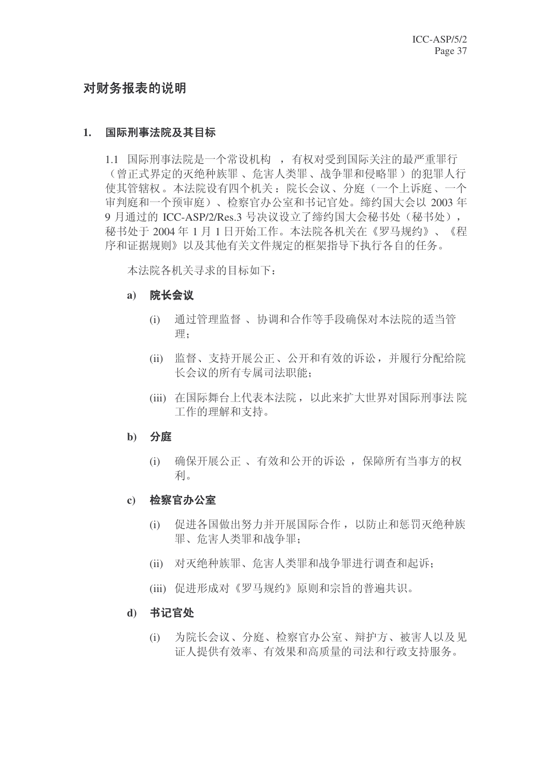# 对财务报表的说明

## 1. 国际刑事法院及其目标

1.1 国际刑事法院是一个常设机构, 有权对受到国际关注的最严重罪行 (曾正式界定的灭绝种族罪、 危害人类罪、战争罪和侵略罪)的犯罪人行 使其管辖权。本法院设有四个机关: 院长会议、分庭(一个上诉庭、一个 审判庭和一个预审庭)、检察官办公室和书记官处。缔约国大会以 2003 年 9 月通过的 ICC-ASP/2/Res.3 号决议设立了缔约国大会秘书处(秘书处), 秘书处于 2004年1月1日开始工作。本法院各机关在《罗马规约》、《程 序和证据规则》以及其他有关文件规定的框架指导下执行各自的任务。

本法院各机关寻求的目标如下:

## a) 院长会议

- (i) 通过管理监督、协调和合作等手段确保对本法院的适当管 理:
- (ii) 监督、支持开展公正、公开和有效的诉讼, 并履行分配给院 长会议的所有专属司法职能:
- (iii) 在国际舞台上代表本法院, 以此来扩大世界对国际刑事法院 工作的理解和支持。

## **b) 分庭**

- (i) 确保开展公正、有效和公开的诉讼, 保障所有当事方的权 利。
- c) 检察官办公室
	- (i) 促进各国做出努力并开展国际合作, 以防止和惩罚灭绝种族 罪、危害人类罪和战争罪;
	- (ii) 对灭绝种族罪、危害人类罪和战争罪讲行调杳和起诉:
	- (iii) 促进形成对《罗马规约》原则和宗旨的普遍共识。

## d) 书记官处

(i) 为院长会议、分庭、检察官办公室、辩护方、被害人以及见 证人提供有效率、有效果和高质量的司法和行政支持服务。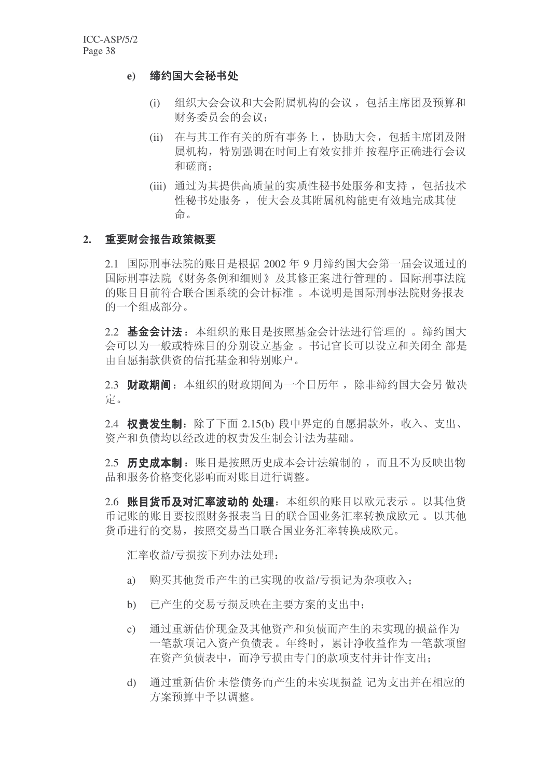## e) 缔约国大会秘书处

- (i) 组织大会会议和大会附属机构的会议, 包括主席团及预算和 财务委员会的会议:
- (ii) 在与其工作有关的所有事务上, 协助大会, 包括主席团及附 属机构,特别强调在时间上有效安排并按程序正确进行会议 和磋商:
- (iii) 通过为其提供高质量的实质性秘书处服务和支持, 包括技术 性秘书处服务, 使大会及其附属机构能更有效地完成其使 命。

## 2. 重要财会报告政策概要

2.1 国际刑事法院的账目是根据 2002 年 9 月缔约国大会第一届会议通过的 国际刑事法院《财务条例和细则》及其修正案进行管理的。国际刑事法院 的账目目前符合联合国系统的会计标准。本说明是国际刑事法院财务报表 的一个组成部分。

2.2 基金会计法: 本组织的账目是按照基金会计法进行管理的。缔约国大 会可以为一般或特殊目的分别设立基金。 书记官长可以设立和关闭全 部是 由自愿捐款供资的信托基金和特别账户。

2.3 财政期间: 本组织的财政期间为一个日历年, 除非缔约国大会另做决 定。

2.4 权责发生制: 除了下面 2.15(b) 段中界定的自愿捐款外, 收入、支出、 资产和负债均以经改讲的权责发生制会计法为基础。

2.5 历史成本制: 账目是按照历史成本会计法编制的, 而且不为反映出物 品和服务价格变化影响而对账目讲行调整。

2.6 账目货币及对汇率波动的 处理: 本组织的账目以欧元表示。 以其他货 币记账的账目要按照财务报表当日的联合国业务汇率转换成欧元。以其他 货币进行的交易, 按照交易当日联合国业务汇率转换成欧元。

汇率收益/亏损按下列办法处理:

- a) 购买其他货币产生的已实现的收益/亏损记为杂项收入;
- b) 已产生的交易亏损反映在主要方案的支出中:
- c) 通过重新估价现金及其他资产和负债而产生的未实现的损益作为 一笔款项记入资产负债表。年终时,累计净收益作为一笔款项留 在资产负债表中,而净亏损由专门的款项支付并计作支出;
- d) 通过重新估价未偿债务而产生的未实现损益 记为支出并在相应的 方案预算中予以调整。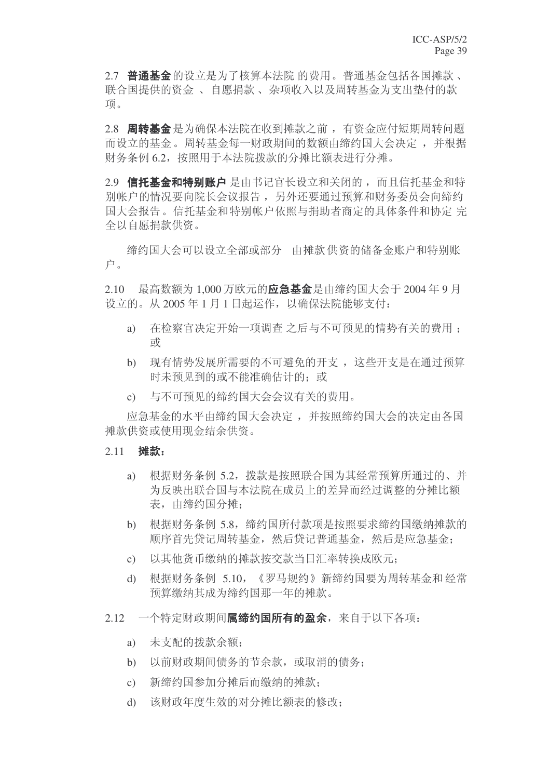2.7 普通基金的设立是为了核算本法院 的费用。普通基金包括各国摊款、 联合国提供的资金、自愿捐款、杂项收入以及周转基金为支出垫付的款 项。

2.8 周转基金是为确保本法院在收到摊款之前, 有资金应付短期周转问题 而设立的基金。周转基金每一财政期间的数额由缔约国大会决定,并根据 财务条例 6.2, 按照用于本法院拨款的分摊比额表讲行分摊。

2.9 信托基金和特别账户是由书记官长设立和关闭的, 而且信托基金和特 别帐户的情况要向院长会议报告,另外还要通过预算和财务委员会向缔约 国大会报告。信托基金和特别帐户依照与捐助者商定的具体条件和协定完 全以自愿捐款供资。

缔约国大会可以设立全部或部分。由摊款供资的储备金账户和特别账 户。

2.10 最高数额为 1.000 万欧元的**应急基金**是由缔约国大会于 2004 年 9 月 设立的。从 2005 年 1 月 1 日起运作, 以确保法院能够支付:

- a) 在检察官决定开始一项调查 之后与不可预见的情势有关的费用; 戓
- b) 现有情势发展所需要的不可避免的开支, 这些开支是在通过预算 时未预见到的或不能准确估计的: 或
- c) 与不可预见的缔约国大会会议有关的费用。

应急基金的水平由缔约国大会决定,并按照缔约国大会的决定由各国 摊款供资或使用现金结余供资。

## 2.11 摊款:

- a) 根据财务条例 5.2. 拨款是按照联合国为其经常预算所通过的、并 为反映出联合国与本法院在成员上的差异而经过调整的分摊比额 表, 由缔约国分摊:
- b) 根据财务条例 5.8, 缔约国所付款项是按照要求缔约国缴纳摊款的 顺序首先贷记周转基金, 然后贷记普通基金, 然后是应急基金;
- c) 以其他货币缴纳的摊款按交款当日汇率转换成欧元;
- d) 根据财务条例 5.10, 《罗马规约》新缔约国要为周转基金和 经常 预算缴纳其成为缔约国那一年的摊款。
- 2.12 一个特定财政期间属缔约国所有的盈余, 来自于以下各项:
	- a) 未支配的拨款余额;
	- b) 以前财政期间债务的节余款, 或取消的债务:
	- c) 新缔约国参加分摊后而缴纳的摊款;
	- d) 该财政年度生效的对分摊比额表的修改: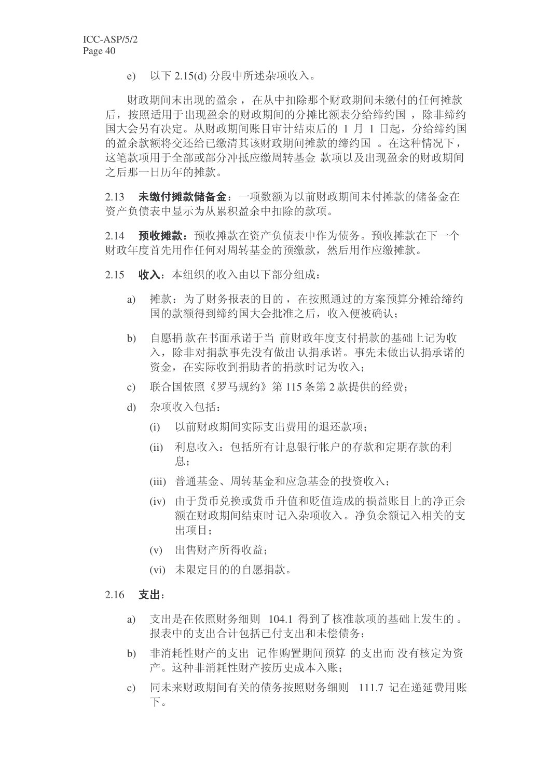e) 以下 2.15(d) 分段中所述杂项收入。

财政期间末出现的盈余, 在从中扣除那个财政期间未缴付的任何摊款 后, 按照适用于出现盈余的财政期间的分摊比额表分给缔约国, 除非缔约 国大会另有决定。从财政期间账目审计结束后的 1 月 1 日起, 分给缔约国 的盈余款额将交还给已缴清其该财政期间摊款的缔约国。在这种情况下, 这笔款项用于全部或部分冲抵应缴周转基金 款项以及出现盈余的财政期间 之后那一日历年的摊款。

2.13 未缴付摊款储备金: 一项数额为以前财政期间未付摊款的储备金在 资产负债表中显示为从累积盈余中扣除的款项。

2.14 预收摊款: 预收摊款在资产负债表中作为债务。预收摊款在下一个 财政年度首先用作任何对周转基金的预缴款,然后用作应缴摊款。

- 2.15 收入: 本组织的收入由以下部分组成:
	- a) 摊款: 为了财务报表的目的, 在按照通过的方案预算分摊给缔约 国的款额得到缔约国大会批准之后, 收入便被确认:
	- b) 自愿捐款在书面承诺于当 前财政年度支付捐款的基础上记为收 入, 除非对捐款事先没有做出认捐承诺。事先未做出认捐承诺的 资金, 在实际收到捐助者的捐款时记为收入;
	- c) 联合国依照《罗马规约》第115 条第 2 款提供的经费;
	- d) 杂项收入包括:
		- (i) 以前财政期间实际支出费用的退还款项;
		- (ii) 利息收入: 包括所有计息银行帐户的存款和定期存款的利 ᙃ˗
		- (iii) 普通基金、周转基金和应急基金的投资收入:
		- (iv) 由于货币兑换或货币升值和贬值造成的损益账目上的净正余 额在财政期间结束时记入杂项收入。净负余额记入相关的支 出项目;
		- (v) 出售财产所得收益:
		- (vi) 未限定目的的自愿捐款。

#### 2.16 支出:

- a) 支出是在依照财务细则 104.1 得到了核准款项的基础上发生的。 报表中的支出合计包括已付支出和未偿债务:
- b) 非消耗性财产的支出 记作购置期间预算 的支出而 没有核定为资 产。这种非消耗性财产按历史成本入账:
- c) 同未来财政期间有关的债务按照财务细则 111.7 记在递延费用账 ϟDŽ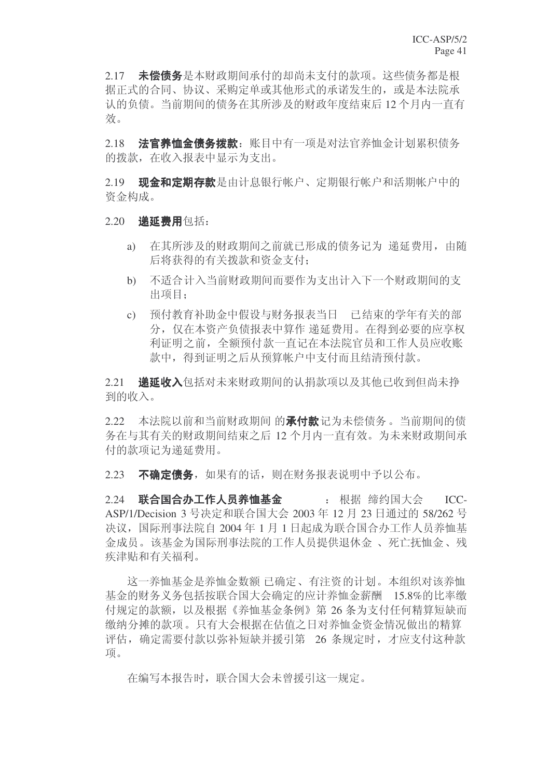2.17 末偿债务是本财政期间承付的却尚未支付的款项。这些债务都是根 据正式的合同、协议、采购定单或其他形式的承诺发生的, 或是本法院承 认的负债。当前期间的债务在其所涉及的财政年度结束后 12 个月内一直有 效。

2.18 法官养恤金债务拨款: 账目中有一项是对法官养恤金计划累积债务 的拨款, 在收入报表中显示为支出。

2.19 现金和定期存款是由计息银行帐户、定期银行帐户和活期帐户中的 资金构成。

### $2.20$  说延费用包括:

- a) 在其所涉及的财政期间之前就已形成的债务记为 递延费用, 由随 后将获得的有关拨款和资金支付;
- b) 不适合计入当前财政期间而要作为支出计入下一个财政期间的支 出项目:
- c) 预付教育补助金中假设与财务报表当日 已结束的学年有关的部 分, 仅在本资产负债报表中算作 递延费用。在得到必要的应享权 利证明之前, 全额预付款一直记在本法院官员和工作人员应收账 款中, 得到证明之后从预算帐户中支付而且结清预付款。

2.21 递延收入包括对未来财政期间的认捐款项以及其他已收到但尚未挣 到的收入。

 $2.22$  本法院以前和当前财政期间 的**承付款**记为未偿债务。当前期间的债 务在与其有关的财政期间结束之后 12 个月内一直有效。为未来财政期间承 付的款项记为递延费用。

2.23 不确定债务, 如果有的话, 则在财务报表说明中予以公布。

2.24 联合国合办工作人员养恤基金 : 根据 缔约国大会 ICC-ASP/1/Decision 3 号决定和联合国大会 2003 年 12 月 23 日通过的 58/262 号 决议, 国际刑事法院自 2004年1月1日起成为联合国合办工作人员养恤基 金成员。该基金为国际刑事法院的工作人员提供退休金、死亡抚恤金、残 疾津贴和有关福利。

这一养恤基金是养恤金数额已确定、有注资的计划。本组织对该养恤 基金的财务义务包括按联合国大会确定的应计养恤金薪酬 15.8%的比率缴 付规定的款额,以及根据《养恤基金条例》第 26 条为支付任何精算短缺而 缴纳分摊的款项。只有大会根据在估值之日对养恤金资金情况做出的精算 评估, 确定需要付款以弥补短缺并援引第 26 条规定时, 才应支付这种款 项。

在编写本报告时, 联合国大会未曾援引这一规定。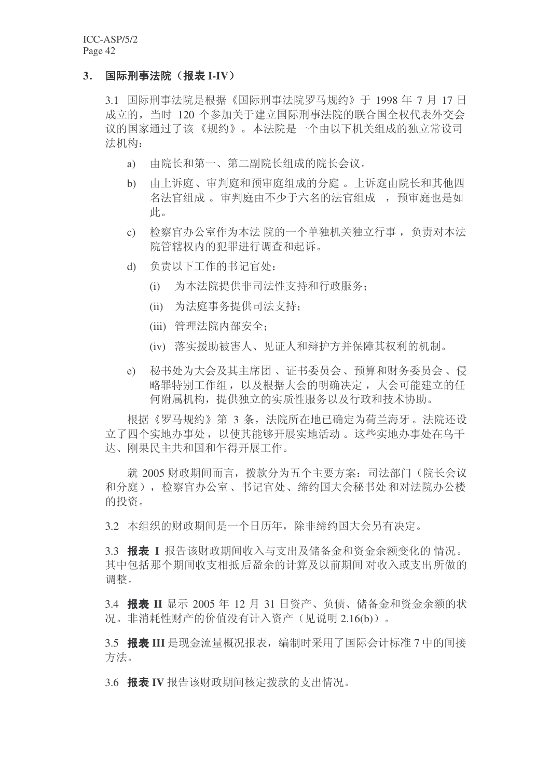## 3. 国际刑事法院 (报表 I-IV)

 $3.1$  国际刑事法院是根据《国际刑事法院罗马规约》于 1998 年 7 月 17 日 成立的, 当时 120 个参加关于建立国际刑事法院的联合国全权代表外交会 议的国家通过了该《规约》。本法院是一个由以下机关组成的独立常设司 法机构:

- a) 由院长和第一、第二副院长组成的院长会议。
- b) 由上诉庭、审判庭和预审庭组成的分庭。上诉庭由院长和其他四 名法官组成。审判庭由不少于六名的法官组成, 预审庭也是如 此。
- c) 检察官办公室作为本法院的一个单独机关独立行事, 负责对本法 院管辖权内的犯罪讲行调杳和起诉。
- d) 负责以下工作的书记官处:
	- (i) 为本法院提供非司法性支持和行政服务:
	- (ii) 为法庭事务提供司法支持:
	- (iii) 管理法院内部安全;
	- (iv) 落实援助被害人、见证人和辩护方并保障其权利的机制。
- e) 秘书处为大会及其主席团、证书委员会、预算和财务委员会、侵 略罪特别工作组, 以及根据大会的明确决定, 大会可能建立的任 何附属机构, 提供独立的实质性服务以及行政和技术协助。

根据《罗马规约》第 3 条, 法院所在地已确定为荷兰海牙。法院还设 立了四个实地办事处,以使其能够开展实地活动。这些实地办事处在乌干 达、刚果民主共和国和乍得开展工作。

就 2005 财政期间而言, 拨款分为五个主要方案: 司法部门(院长会议 和分庭),检察官办公室、书记官处、缔约国大会秘书处和对法院办公楼 的投资。

3.2 本组织的财政期间是一个日历年, 除非缔约国大会另有决定。

3.3 报表 I 报告该财政期间收入与支出及储备金和资金余额变化的情况。 其中包括那个期间收支相抵后盈余的计算及以前期间对收入或支出所做的 调整。

3.4 报表 II 显示 2005 年 12 月 31 日资产、负债、储备金和资金余额的状 况。非消耗性财产的价值没有计入资产(见说明 2.16(b))。

3.5 报表 III 是现金流量概况报表, 编制时采用了国际会计标准 7 中的间接 方法。

3.6 报表 IV 报告该财政期间核定拨款的支出情况。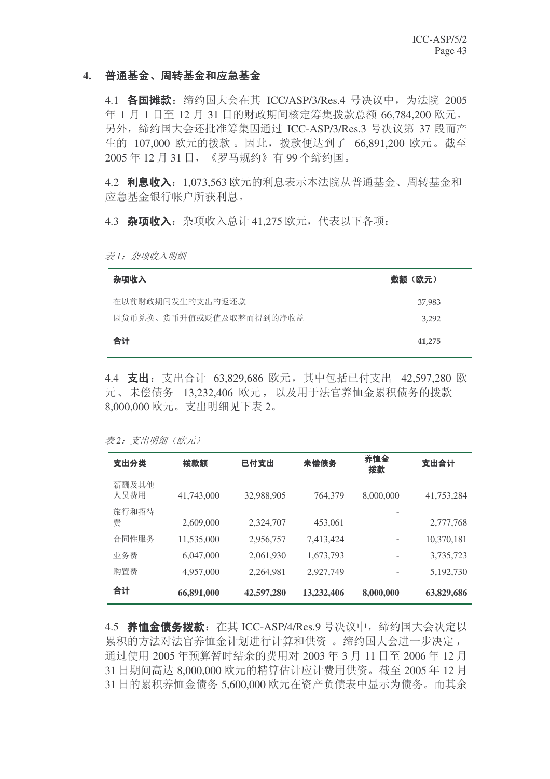## 4. 普通基金、周转基金和应急基金

4.1 各国摊款: 缔约国大会在其 ICC/ASP/3/Res.4 号决议中, 为法院 2005 年 1 月 1 日至 12 月 31 日的财政期间核定筹集拨款总额 66,784,200 欧元。 另外, 缔约国大会还批准筹集因通过 ICC-ASP/3/Res.3 号决议第 37 段而产 牛的 107,000 欧元的拨款。因此, 拨款便达到了 66,891,200 欧元。截至 2005年12月31日,《罗马规约》有99个缔约国。

4.2 利息收入: 1,073,563 欧元的利息表示本法院从普通基金、周转基金和 应急基金银行帐户所获利息。

4.3 杂项收入: 杂项收入总计 41,275 欧元, 代表以下各项:

表 1: 杂项收入明细

| 杂项收入                    | 数额(欧元) |
|-------------------------|--------|
| 在以前财政期间发生的支出的返还款        | 37,983 |
| 因货币兑换、货币升值或贬值及取整而得到的净收益 | 3,292  |
| 合计                      | 41,275 |

4.4 支出: 支出合计 63,829,686 欧元, 其中包括已付支出 42,597,280 欧 元、未偿债务 13.232.406 欧元, 以及用于法官养恤金累积债务的拨款 8,000,000 欧元。支出明细见下表 2。

表 2: 支出明细 (欧元)

| 支出分类          | 拨款额        | 已付支出       | 未偿债务       | 养恤金<br>拨款 | 支出合计       |
|---------------|------------|------------|------------|-----------|------------|
| 薪酬及其他<br>人员费用 | 41,743,000 | 32,988,905 | 764,379    | 8,000,000 | 41,753,284 |
| 旅行和招待<br>费    | 2,609,000  | 2,324,707  | 453,061    |           | 2,777,768  |
| 合同性服务         | 11,535,000 | 2,956,757  | 7,413,424  |           | 10,370,181 |
| 业务费           | 6,047,000  | 2,061,930  | 1,673,793  |           | 3,735,723  |
| 购置费           | 4,957,000  | 2,264,981  | 2,927,749  |           | 5,192,730  |
| 合计            | 66,891,000 | 42,597,280 | 13,232,406 | 8,000,000 | 63,829,686 |

4.5 养恤金债务拨款: 在其 ICC-ASP/4/Res.9 号决议中, 缔约国大会决定以 累积的方法对法官养恤金计划进行计算和供资 。缔约国大会进一步决定, 通过使用 2005 年预算暂时结余的费用对 2003 年 3 月 11 日至 2006 年 12 月 31 日期间高达 8,000,000 欧元的精算估计应计费用供资。截至 2005 年 12 月 31 日的累积养恤金债务 5,600,000 欧元在资产负债表中显示为债务。而其余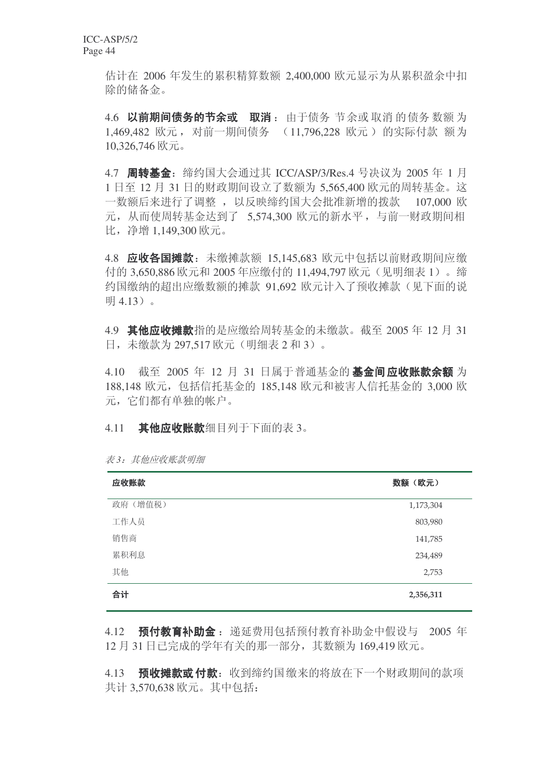估计在 2006 年发生的累积精算数额 2,400,000 欧元显示为从累积盈余中扣 除的储备金。

4.6 以前期间债务的节余或 取消: 由于债务 节余或 取消 的债务 数额 为 1,469,482 欧元, 对前一期间债务 (11,796,228 欧元) 的实际付款 额为 10,326,746 欧元。

4.7 周转基金: 缔约国大会通过其 ICC/ASP/3/Res.4 号决议为 2005 年 1 月 1 日至 12 月 31 日的财政期间设立了数额为 5,565,400 欧元的周转基金。这 一数额后来进行了调整, 以反映缔约国大会批准新增的拨款 107,000 欧 元, 从而使周转基金达到了 5,574,300 欧元的新水平, 与前一财政期间相 比, 净增 1,149,300 欧元。

4.8 应收各国摊款: 未缴摊款额 15.145.683 欧元中包括以前财政期间应缴 付的 3,650,886 欧元和 2005 年应缴付的 11,494,797 欧元 (见明细表 1)。缔 约国缴纳的超出应缴数额的摊款 91,692 欧元计入了预收摊款(见下面的说 明 4.13)。

4.9 其他应收摊款指的是应缴给周转基金的未缴款。截至 2005 年 12 月 31 日, 未缴款为 297,517 欧元 (明细表 2 和 3)。

4.10 截至 2005 年 12 月 31 日属于普通基金的 **基金间 应收账款余额** 为 188,148 欧元, 包括信托基金的 185,148 欧元和被害人信托基金的 3,000 欧 元, 它们都有单独的帐户。

4.11 其他应收账款细目列于下面的表 3。

| 应收账款    | 数额(欧元)    |
|---------|-----------|
| 政府(增值税) | 1,173,304 |
| 工作人员    | 803,980   |
| 销售商     | 141,785   |
| 累积利息    | 234,489   |
| 其他      | 2,753     |
| 合计      | 2,356,311 |

表 3: 其他应收账款明细

4.12 预付教育补助金: 递延费用包括预付教育补助金中假设与 2005 年 12 月 31 日已完成的学年有关的那一部分, 其数额为 169,419 欧元。

4.13 预收摊款或付款: 收到缔约国缴来的将放在下一个财政期间的款项 共计 3,570,638 欧元。其中包括: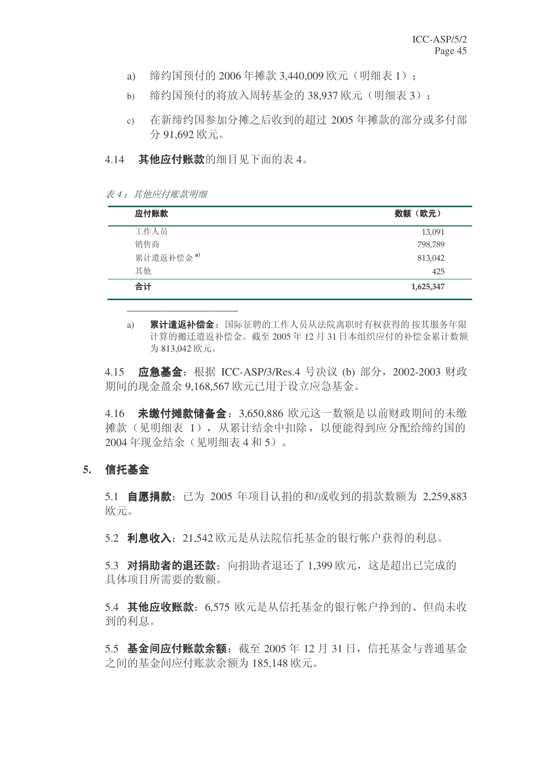- a) 缔约国预付的 2006 年摊款 3,440,009 欧元 (明细表 1);
- b) 缔约国预付的将放入周转基金的 38.937 欧元 (明细表 3):
- c) 在新缔约国参加分摊之后收到的超过 2005 年摊款的部分或多付部 分 91,692 欧元。
- 4.14 其他应付账款的细目见下面的表 4。

表 4: 其他应付账款明细

\_\_\_\_\_\_\_\_\_\_\_\_\_\_\_\_\_\_\_\_

| 应付账款                  | 数额(欧元)    |
|-----------------------|-----------|
| 工作人员                  | 13,091    |
| 销售商                   | 798,789   |
| 累计遣返补偿金 <sup>a)</sup> | 813,042   |
| 其他                    | 425       |
| 合计                    | 1,625,347 |

a) 累计遣返补偿金:国际征聘的工作人员从法院离职时有权获得的 按其服务年限 计算的搬迁遣返补偿金。截至 2005 年 12 月 31 日本组织应付的补偿金累计数额 为 $813,042$  欧元。

4.15 应急基金: 根据 ICC-ASP/3/Res.4 号决议 (b) 部分, 2002-2003 财政 期间的现金盈余 9.168.567 欧元已用于设立应急基金。

4.16 未缴付摊款储备金: 3,650,886 欧元这一数额是以前财政期间的未缴 摊款(见明细表 1), 从累计结余中扣除, 以便能得到应分配给缔约国的 2004年现金结余(见明细表 4 和 5)。

#### 5. 信托基金

5.1 **自愿捐款**: 已为 2005 年项目认捐的和/或收到的捐款数额为 2,259,883 欧元。

5.2 利息收入: 21,542 欧元是从法院信托基金的银行帐户获得的利息。

5.3 对捐助者的退还款: 向捐助者退还了 1.399 欧元, 这是超出已完成的 具体项目所需要的数额。

5.4 其他应收账款: 6.575 欧元是从信托基金的银行帐户挣到的、但尚未收 到的利息。

5.5 基金间应付账款余额: 截至 2005年 12 月 31 日, 信托基金与普通基金 之间的基金间应付账款余额为185.148 欧元。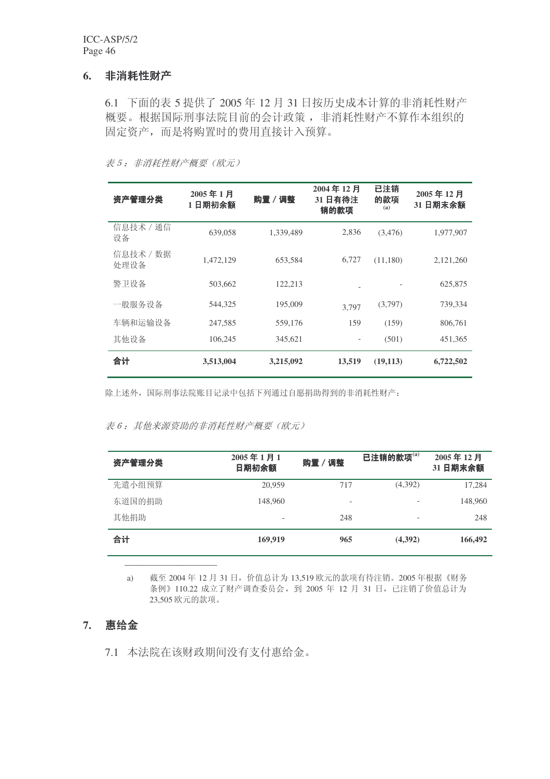## 6. 非消耗性财产

6.1 下面的表 5 提供了 2005 年 12 月 31 日按历史成本计算的非消耗性财产 概要。根据国际刑事法院目前的会计政策, 非消耗性财产不算作本组织的 固定资产,而是将购置时的费用直接计入预算。

表 5: 非消耗性财产概要(欧元)

| 资产管理分类            | 2005年1月<br>1日期初余额 | 购置 / 调整   | 2004年12月<br>31日有待注<br>销的款项 | 已注销<br>的款项<br>(a) | 2005年12月<br>31 日期末余额 |
|-------------------|-------------------|-----------|----------------------------|-------------------|----------------------|
| 信息技术 / 通信<br>设备   | 639,058           | 1,339,489 | 2,836                      | (3,476)           | 1,977,907            |
| 信息技术 / 数据<br>处理设备 | 1,472,129         | 653,584   | 6,727                      | (11,180)          | 2,121,260            |
| 警卫设备              | 503,662           | 122,213   |                            |                   | 625,875              |
| 一般服务设备            | 544,325           | 195,009   | 3.797                      | (3,797)           | 739,334              |
| 车辆和运输设备           | 247,585           | 559,176   | 159                        | (159)             | 806,761              |
| 其他设备              | 106,245           | 345,621   |                            | (501)             | 451,365              |
| 合计                | 3,513,004         | 3,215,092 | 13,519                     | (19, 113)         | 6,722,502            |

除上述外,国际刑事法院账目记录中包括下列通过自愿捐助得到的非消耗性财产:

表 6: 其他来源资助的非消耗性财产概要(欧元)

| 资产管理分类 | 2005年1月1<br>日期初余额 | 购置 / 调整                  | 已注销的款项 <sup>(a)</sup> | 2005年12月<br>31日期末余额 |
|--------|-------------------|--------------------------|-----------------------|---------------------|
| 先遣小组预算 | 20,959            | 717                      | (4,392)               | 17,284              |
| 东道国的捐助 | 148,960           | $\overline{\phantom{0}}$ |                       | 148,960             |
| 其他捐助   |                   | 248                      |                       | 248                 |
| 合计     | 169,919           | 965                      | (4,392)               | 166,492             |

a) 截至 2004年 12 月 31 日, 价值总计为 13,519 欧元的款项有待注销。2005 年根据《财务 条例》110.22 成立了财产调查委员会, 到 2005 年 12 月 31 日, 已注销了价值总计为 23,505 欧元的款项。

## 7. 惠给金

7.1 本法院在该财政期间没有支付惠给金。

\_\_\_\_\_\_\_\_\_\_\_\_\_\_\_\_\_\_\_\_